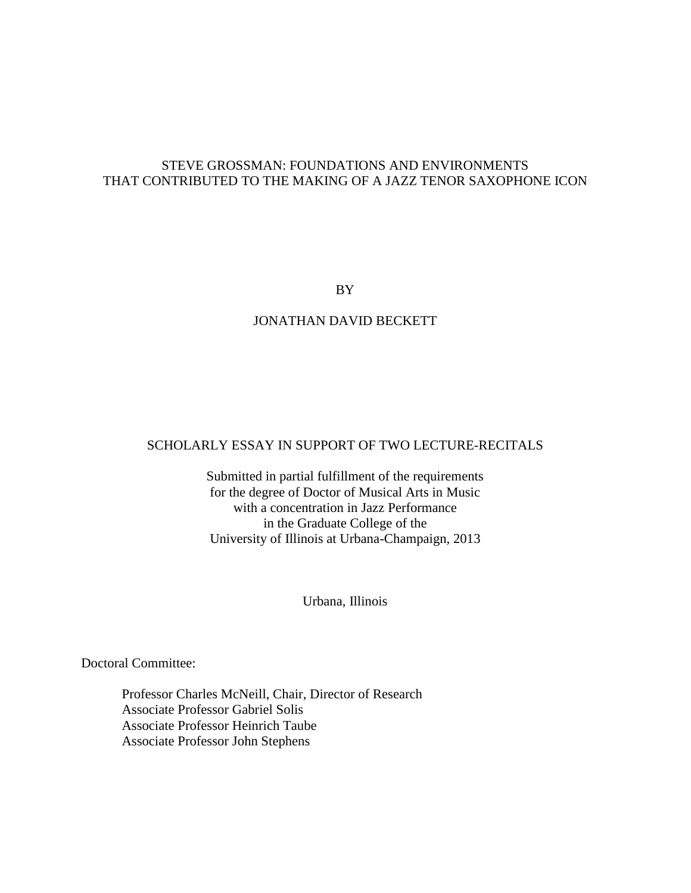## STEVE GROSSMAN: FOUNDATIONS AND ENVIRONMENTS THAT CONTRIBUTED TO THE MAKING OF A JAZZ TENOR SAXOPHONE ICON

BY

## JONATHAN DAVID BECKETT

## SCHOLARLY ESSAY IN SUPPORT OF TWO LECTURE-RECITALS

Submitted in partial fulfillment of the requirements for the degree of Doctor of Musical Arts in Music with a concentration in Jazz Performance in the Graduate College of the University of Illinois at Urbana-Champaign, 2013

Urbana, Illinois

Doctoral Committee:

Professor Charles McNeill, Chair, Director of Research Associate Professor Gabriel Solis Associate Professor Heinrich Taube Associate Professor John Stephens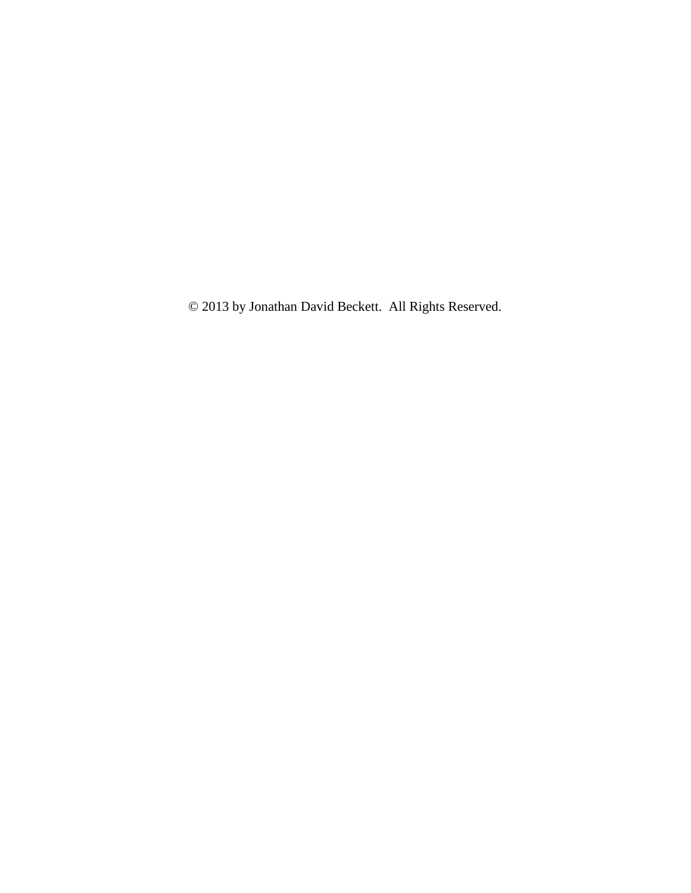© 2013 by Jonathan David Beckett. All Rights Reserved.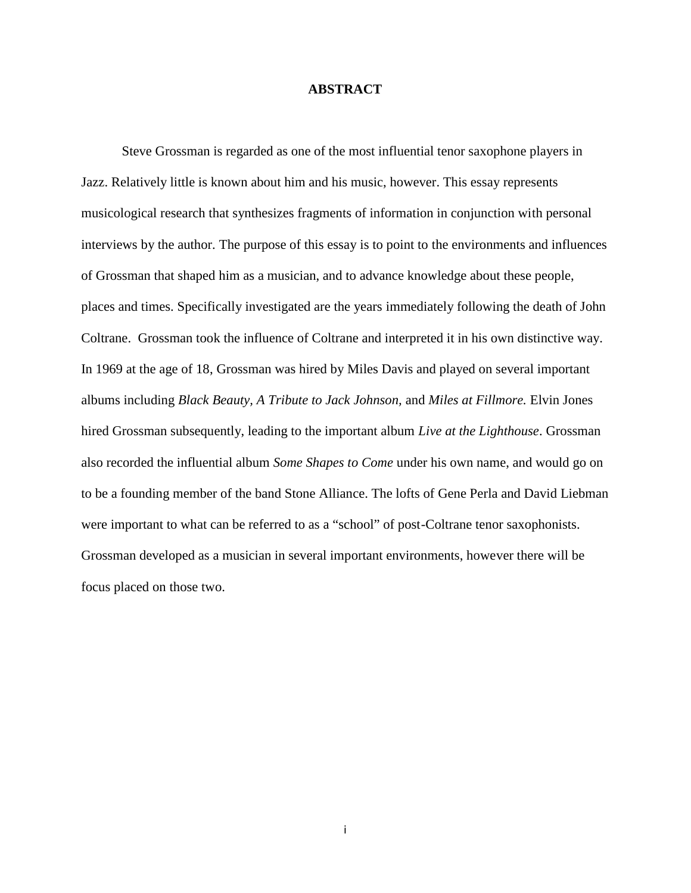### **ABSTRACT**

Steve Grossman is regarded as one of the most influential tenor saxophone players in Jazz. Relatively little is known about him and his music, however. This essay represents musicological research that synthesizes fragments of information in conjunction with personal interviews by the author. The purpose of this essay is to point to the environments and influences of Grossman that shaped him as a musician, and to advance knowledge about these people, places and times. Specifically investigated are the years immediately following the death of John Coltrane. Grossman took the influence of Coltrane and interpreted it in his own distinctive way. In 1969 at the age of 18, Grossman was hired by Miles Davis and played on several important albums including *Black Beauty, A Tribute to Jack Johnson,* and *Miles at Fillmore.* Elvin Jones hired Grossman subsequently, leading to the important album *Live at the Lighthouse*. Grossman also recorded the influential album *Some Shapes to Come* under his own name, and would go on to be a founding member of the band Stone Alliance. The lofts of Gene Perla and David Liebman were important to what can be referred to as a "school" of post-Coltrane tenor saxophonists. Grossman developed as a musician in several important environments, however there will be focus placed on those two.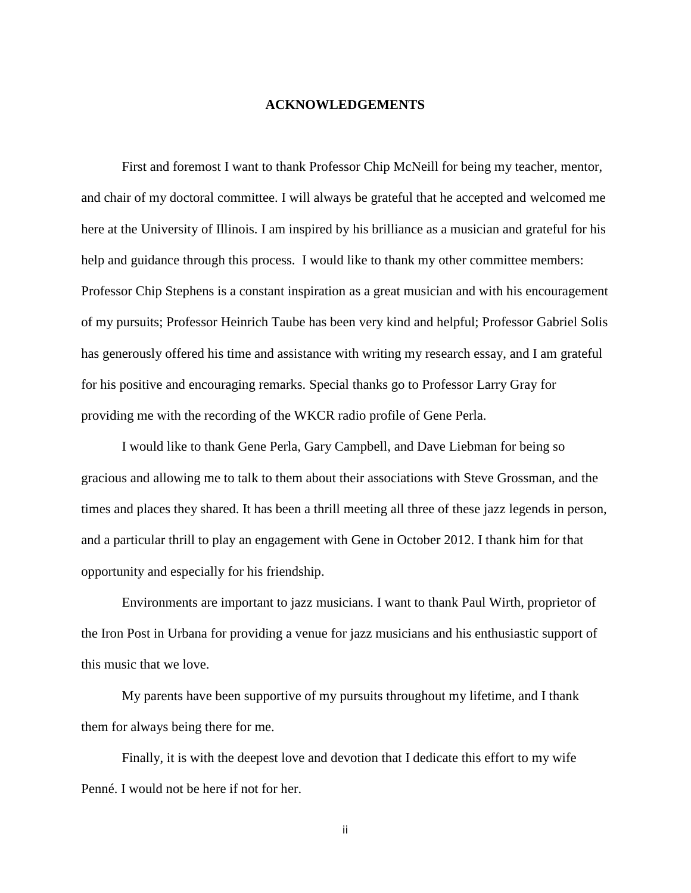#### **ACKNOWLEDGEMENTS**

First and foremost I want to thank Professor Chip McNeill for being my teacher, mentor, and chair of my doctoral committee. I will always be grateful that he accepted and welcomed me here at the University of Illinois. I am inspired by his brilliance as a musician and grateful for his help and guidance through this process. I would like to thank my other committee members: Professor Chip Stephens is a constant inspiration as a great musician and with his encouragement of my pursuits; Professor Heinrich Taube has been very kind and helpful; Professor Gabriel Solis has generously offered his time and assistance with writing my research essay, and I am grateful for his positive and encouraging remarks. Special thanks go to Professor Larry Gray for providing me with the recording of the WKCR radio profile of Gene Perla.

I would like to thank Gene Perla, Gary Campbell, and Dave Liebman for being so gracious and allowing me to talk to them about their associations with Steve Grossman, and the times and places they shared. It has been a thrill meeting all three of these jazz legends in person, and a particular thrill to play an engagement with Gene in October 2012. I thank him for that opportunity and especially for his friendship.

Environments are important to jazz musicians. I want to thank Paul Wirth, proprietor of the Iron Post in Urbana for providing a venue for jazz musicians and his enthusiastic support of this music that we love.

My parents have been supportive of my pursuits throughout my lifetime, and I thank them for always being there for me.

Finally, it is with the deepest love and devotion that I dedicate this effort to my wife Penné. I would not be here if not for her.

ii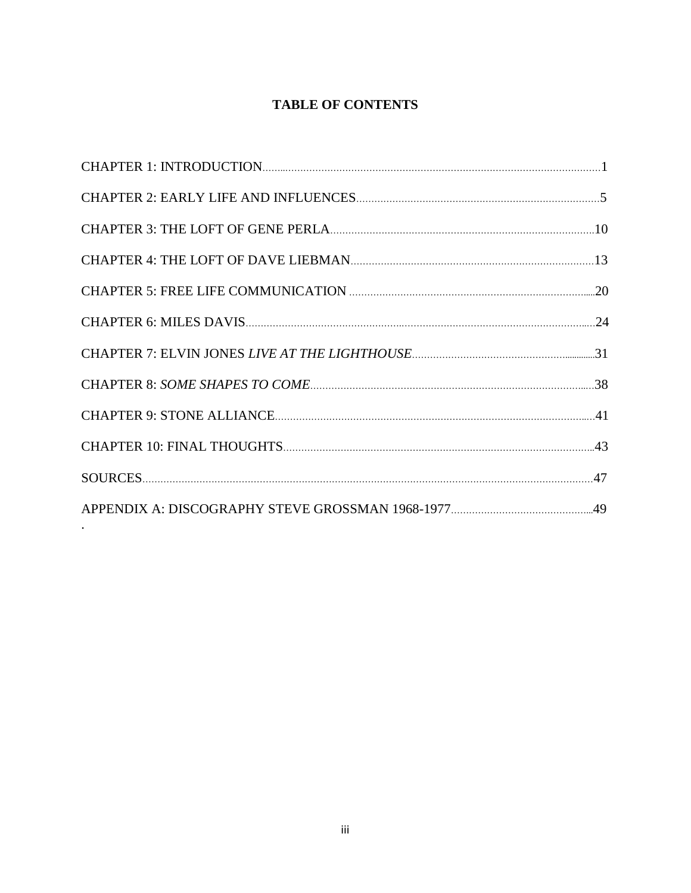# **TABLE OF CONTENTS**

.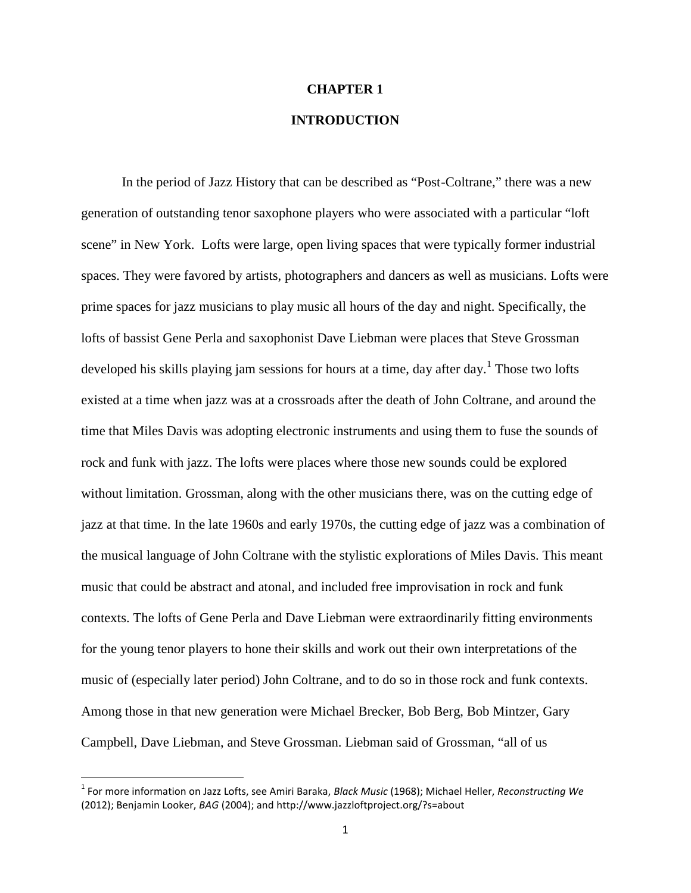#### **CHAPTER 1**

# **INTRODUCTION**

In the period of Jazz History that can be described as "Post-Coltrane," there was a new generation of outstanding tenor saxophone players who were associated with a particular "loft scene" in New York. Lofts were large, open living spaces that were typically former industrial spaces. They were favored by artists, photographers and dancers as well as musicians. Lofts were prime spaces for jazz musicians to play music all hours of the day and night. Specifically, the lofts of bassist Gene Perla and saxophonist Dave Liebman were places that Steve Grossman developed his skills playing jam sessions for hours at a time, day after day.<sup>1</sup> Those two lofts existed at a time when jazz was at a crossroads after the death of John Coltrane, and around the time that Miles Davis was adopting electronic instruments and using them to fuse the sounds of rock and funk with jazz. The lofts were places where those new sounds could be explored without limitation. Grossman, along with the other musicians there, was on the cutting edge of jazz at that time. In the late 1960s and early 1970s, the cutting edge of jazz was a combination of the musical language of John Coltrane with the stylistic explorations of Miles Davis. This meant music that could be abstract and atonal, and included free improvisation in rock and funk contexts. The lofts of Gene Perla and Dave Liebman were extraordinarily fitting environments for the young tenor players to hone their skills and work out their own interpretations of the music of (especially later period) John Coltrane, and to do so in those rock and funk contexts. Among those in that new generation were Michael Brecker, Bob Berg, Bob Mintzer, Gary Campbell, Dave Liebman, and Steve Grossman. Liebman said of Grossman, "all of us

<sup>1</sup> For more information on Jazz Lofts, see Amiri Baraka, *Black Music* (1968); Michael Heller, *Reconstructing We* (2012); Benjamin Looker, *BAG* (2004); and http://www.jazzloftproject.org/?s=about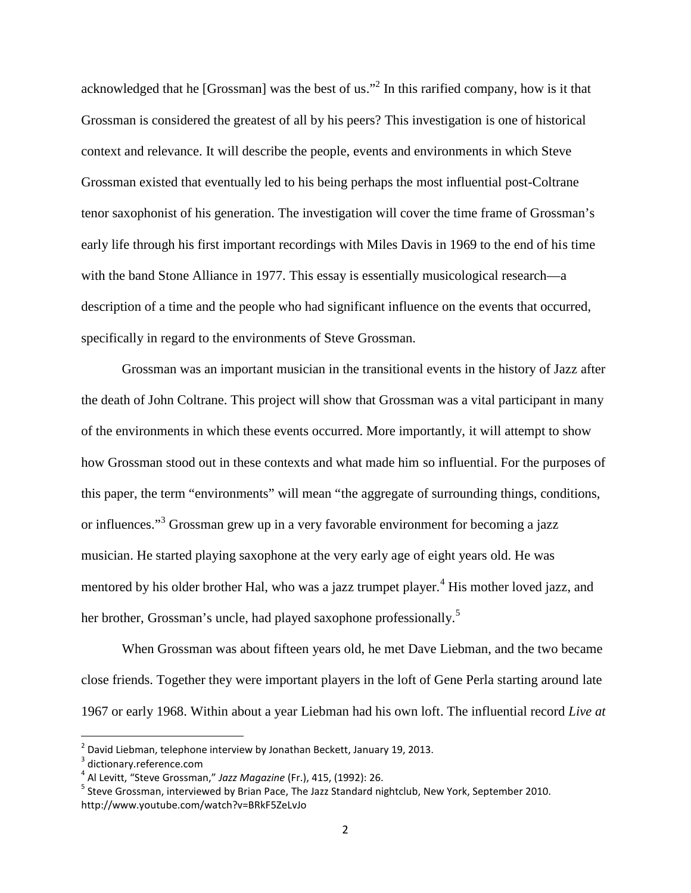acknowledged that he [Grossman] was the best of us."<sup>2</sup> In this rarified company, how is it that Grossman is considered the greatest of all by his peers? This investigation is one of historical context and relevance. It will describe the people, events and environments in which Steve Grossman existed that eventually led to his being perhaps the most influential post-Coltrane tenor saxophonist of his generation. The investigation will cover the time frame of Grossman's early life through his first important recordings with Miles Davis in 1969 to the end of his time with the band Stone Alliance in 1977. This essay is essentially musicological research—a description of a time and the people who had significant influence on the events that occurred, specifically in regard to the environments of Steve Grossman.

Grossman was an important musician in the transitional events in the history of Jazz after the death of John Coltrane. This project will show that Grossman was a vital participant in many of the environments in which these events occurred. More importantly, it will attempt to show how Grossman stood out in these contexts and what made him so influential. For the purposes of this paper, the term "environments" will mean "the aggregate of surrounding things, conditions, or influences."<sup>3</sup> Grossman grew up in a very favorable environment for becoming a jazz musician. He started playing saxophone at the very early age of eight years old. He was mentored by his older brother Hal, who was a jazz trumpet player.<sup>4</sup> His mother loved jazz, and her brother, Grossman's uncle, had played saxophone professionally.<sup>5</sup>

When Grossman was about fifteen years old, he met Dave Liebman, and the two became close friends. Together they were important players in the loft of Gene Perla starting around late 1967 or early 1968. Within about a year Liebman had his own loft. The influential record *Live at*

 $2$  David Liebman, telephone interview by Jonathan Beckett, January 19, 2013.

<sup>&</sup>lt;sup>3</sup> dictionary.reference.com

<sup>4</sup> Al Levitt, "Steve Grossman," *Jazz Magazine* (Fr.), 415, (1992): 26.

<sup>&</sup>lt;sup>5</sup> Steve Grossman, interviewed by Brian Pace, The Jazz Standard nightclub, New York, September 2010. http://www.youtube.com/watch?v=BRkF5ZeLvJo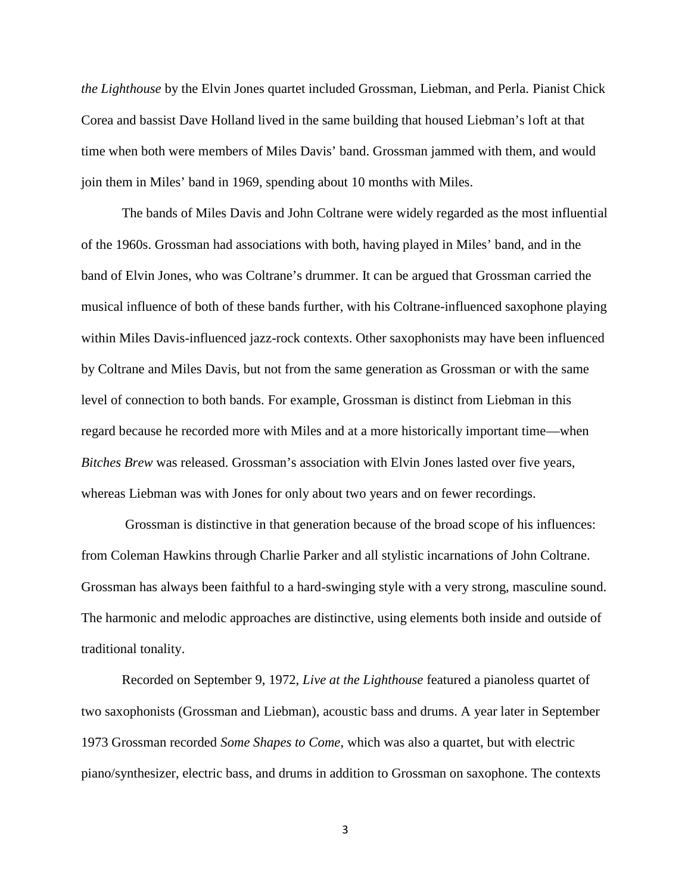*the Lighthouse* by the Elvin Jones quartet included Grossman, Liebman, and Perla. Pianist Chick Corea and bassist Dave Holland lived in the same building that housed Liebman's loft at that time when both were members of Miles Davis' band. Grossman jammed with them, and would join them in Miles' band in 1969, spending about 10 months with Miles.

The bands of Miles Davis and John Coltrane were widely regarded as the most influential of the 1960s. Grossman had associations with both, having played in Miles' band, and in the band of Elvin Jones, who was Coltrane's drummer. It can be argued that Grossman carried the musical influence of both of these bands further, with his Coltrane-influenced saxophone playing within Miles Davis-influenced jazz-rock contexts. Other saxophonists may have been influenced by Coltrane and Miles Davis, but not from the same generation as Grossman or with the same level of connection to both bands. For example, Grossman is distinct from Liebman in this regard because he recorded more with Miles and at a more historically important time—when *Bitches Brew* was released. Grossman's association with Elvin Jones lasted over five years, whereas Liebman was with Jones for only about two years and on fewer recordings.

Grossman is distinctive in that generation because of the broad scope of his influences: from Coleman Hawkins through Charlie Parker and all stylistic incarnations of John Coltrane. Grossman has always been faithful to a hard-swinging style with a very strong, masculine sound. The harmonic and melodic approaches are distinctive, using elements both inside and outside of traditional tonality.

Recorded on September 9, 1972, *Live at the Lighthouse* featured a pianoless quartet of two saxophonists (Grossman and Liebman), acoustic bass and drums. A year later in September 1973 Grossman recorded *Some Shapes to Come*, which was also a quartet, but with electric piano/synthesizer, electric bass, and drums in addition to Grossman on saxophone. The contexts

3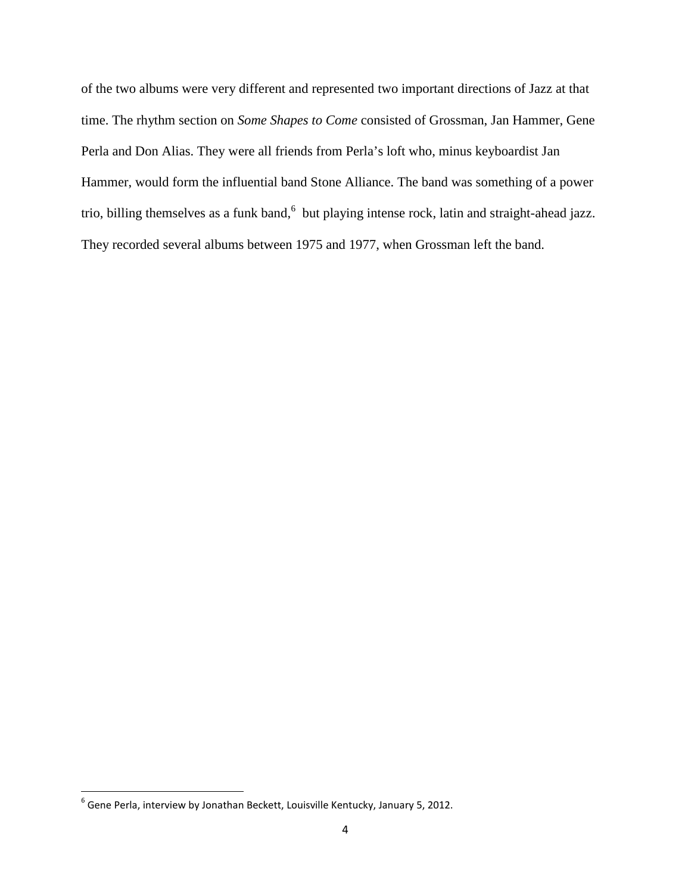of the two albums were very different and represented two important directions of Jazz at that time. The rhythm section on *Some Shapes to Come* consisted of Grossman, Jan Hammer, Gene Perla and Don Alias. They were all friends from Perla's loft who, minus keyboardist Jan Hammer, would form the influential band Stone Alliance. The band was something of a power trio, billing themselves as a funk band,<sup>6</sup> but playing intense rock, latin and straight-ahead jazz. They recorded several albums between 1975 and 1977, when Grossman left the band.

<sup>6</sup> Gene Perla, interview by Jonathan Beckett, Louisville Kentucky, January 5, 2012.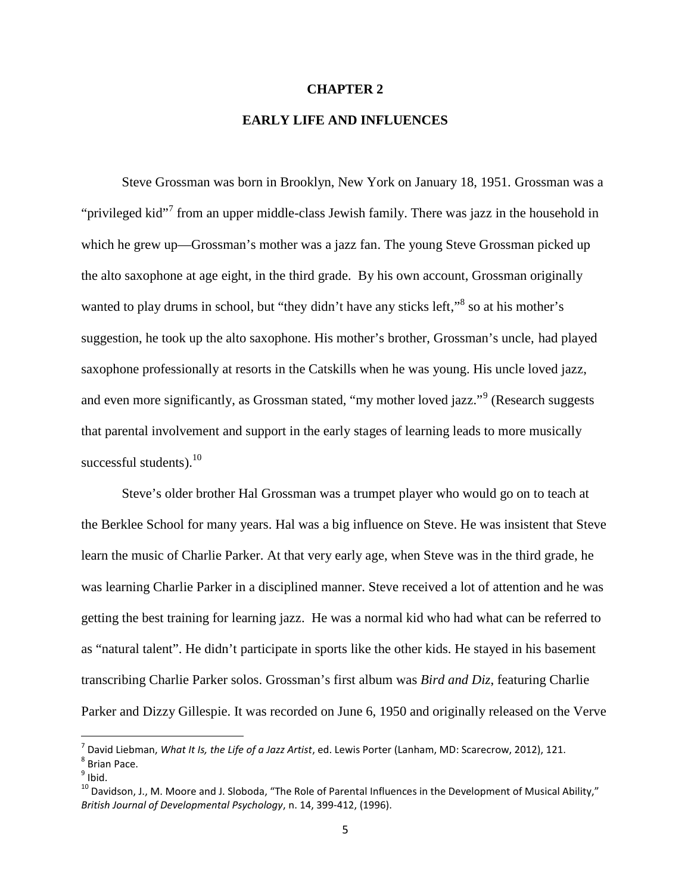#### **CHAPTER 2**

## **EARLY LIFE AND INFLUENCES**

Steve Grossman was born in Brooklyn, New York on January 18, 1951. Grossman was a "privileged kid"<sup>7</sup> from an upper middle-class Jewish family. There was jazz in the household in which he grew up—Grossman's mother was a jazz fan. The young Steve Grossman picked up the alto saxophone at age eight, in the third grade. By his own account, Grossman originally wanted to play drums in school, but "they didn't have any sticks left," $\delta$  so at his mother's suggestion, he took up the alto saxophone. His mother's brother, Grossman's uncle, had played saxophone professionally at resorts in the Catskills when he was young. His uncle loved jazz, and even more significantly, as Grossman stated, "my mother loved jazz."<sup>9</sup> (Research suggests that parental involvement and support in the early stages of learning leads to more musically successful students). $10$ 

Steve's older brother Hal Grossman was a trumpet player who would go on to teach at the Berklee School for many years. Hal was a big influence on Steve. He was insistent that Steve learn the music of Charlie Parker. At that very early age, when Steve was in the third grade, he was learning Charlie Parker in a disciplined manner. Steve received a lot of attention and he was getting the best training for learning jazz. He was a normal kid who had what can be referred to as "natural talent". He didn't participate in sports like the other kids. He stayed in his basement transcribing Charlie Parker solos. Grossman's first album was *Bird and Diz*, featuring Charlie Parker and Dizzy Gillespie. It was recorded on June 6, 1950 and originally released on the Verve

<sup>7</sup> David Liebman, *What It Is, the Life of a Jazz Artist*, ed. Lewis Porter (Lanham, MD: Scarecrow, 2012), 121.

<sup>8</sup> Brian Pace.

 $^9$  Ibid.

 $10$  Davidson, J., M. Moore and J. Sloboda, "The Role of Parental Influences in the Development of Musical Ability," *British Journal of Developmental Psychology*, n. 14, 399-412, (1996).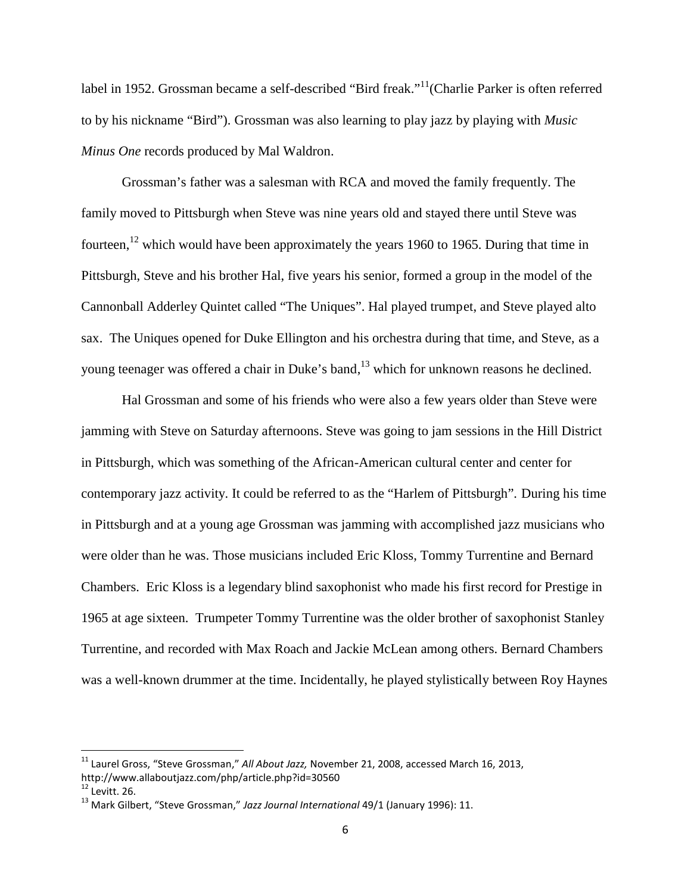label in 1952. Grossman became a self-described "Bird freak."<sup>11</sup>(Charlie Parker is often referred to by his nickname "Bird"). Grossman was also learning to play jazz by playing with *Music Minus One* records produced by Mal Waldron.

Grossman's father was a salesman with RCA and moved the family frequently. The family moved to Pittsburgh when Steve was nine years old and stayed there until Steve was fourteen,<sup>12</sup> which would have been approximately the years 1960 to 1965. During that time in Pittsburgh, Steve and his brother Hal, five years his senior, formed a group in the model of the Cannonball Adderley Quintet called "The Uniques". Hal played trumpet, and Steve played alto sax. The Uniques opened for Duke Ellington and his orchestra during that time, and Steve, as a young teenager was offered a chair in Duke's band,<sup>13</sup> which for unknown reasons he declined.

Hal Grossman and some of his friends who were also a few years older than Steve were jamming with Steve on Saturday afternoons. Steve was going to jam sessions in the Hill District in Pittsburgh, which was something of the African-American cultural center and center for contemporary jazz activity. It could be referred to as the "Harlem of Pittsburgh". During his time in Pittsburgh and at a young age Grossman was jamming with accomplished jazz musicians who were older than he was. Those musicians included Eric Kloss, Tommy Turrentine and Bernard Chambers. Eric Kloss is a legendary blind saxophonist who made his first record for Prestige in 1965 at age sixteen. Trumpeter Tommy Turrentine was the older brother of saxophonist Stanley Turrentine, and recorded with Max Roach and Jackie McLean among others. Bernard Chambers was a well-known drummer at the time. Incidentally, he played stylistically between Roy Haynes

<sup>11</sup> Laurel Gross, "Steve Grossman," *All About Jazz,* November 21, 2008, accessed March 16, 2013, http://www.allaboutjazz.com/php/article.php?id=30560

 $12$  Levitt. 26.

<sup>13</sup> Mark Gilbert, "Steve Grossman," *Jazz Journal International* 49/1 (January 1996): 11.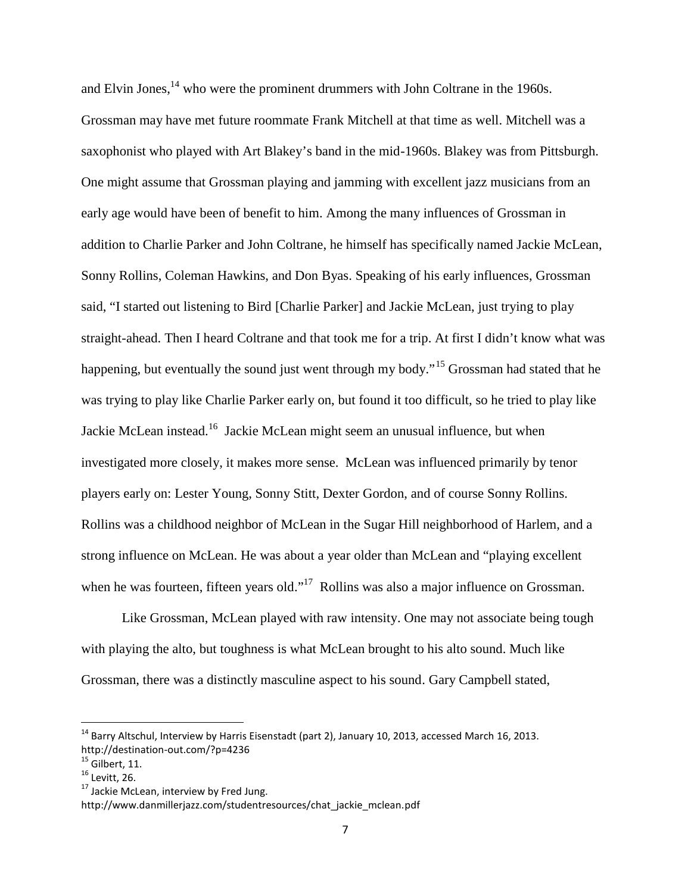and Elvin Jones, $^{14}$  who were the prominent drummers with John Coltrane in the 1960s. Grossman may have met future roommate Frank Mitchell at that time as well. Mitchell was a saxophonist who played with Art Blakey's band in the mid-1960s. Blakey was from Pittsburgh. One might assume that Grossman playing and jamming with excellent jazz musicians from an early age would have been of benefit to him. Among the many influences of Grossman in addition to Charlie Parker and John Coltrane, he himself has specifically named Jackie McLean, Sonny Rollins, Coleman Hawkins, and Don Byas. Speaking of his early influences, Grossman said, "I started out listening to Bird [Charlie Parker] and Jackie McLean, just trying to play straight-ahead. Then I heard Coltrane and that took me for a trip. At first I didn't know what was happening, but eventually the sound just went through my body."<sup>15</sup> Grossman had stated that he was trying to play like Charlie Parker early on, but found it too difficult, so he tried to play like Jackie McLean instead.<sup>16</sup> Jackie McLean might seem an unusual influence, but when investigated more closely, it makes more sense. McLean was influenced primarily by tenor players early on: Lester Young, Sonny Stitt, Dexter Gordon, and of course Sonny Rollins. Rollins was a childhood neighbor of McLean in the Sugar Hill neighborhood of Harlem, and a strong influence on McLean. He was about a year older than McLean and "playing excellent when he was fourteen, fifteen years old."<sup>17</sup> Rollins was also a major influence on Grossman.

Like Grossman, McLean played with raw intensity. One may not associate being tough with playing the alto, but toughness is what McLean brought to his alto sound. Much like Grossman, there was a distinctly masculine aspect to his sound. Gary Campbell stated,

 $^{14}$  Barry Altschul, Interview by Harris Eisenstadt (part 2), January 10, 2013, accessed March 16, 2013. http://destination-out.com/?p=4236

 $15$  Gilbert, 11.

 $16$  Levitt, 26.

 $17$  Jackie McLean, interview by Fred Jung.

http://www.danmillerjazz.com/studentresources/chat\_jackie\_mclean.pdf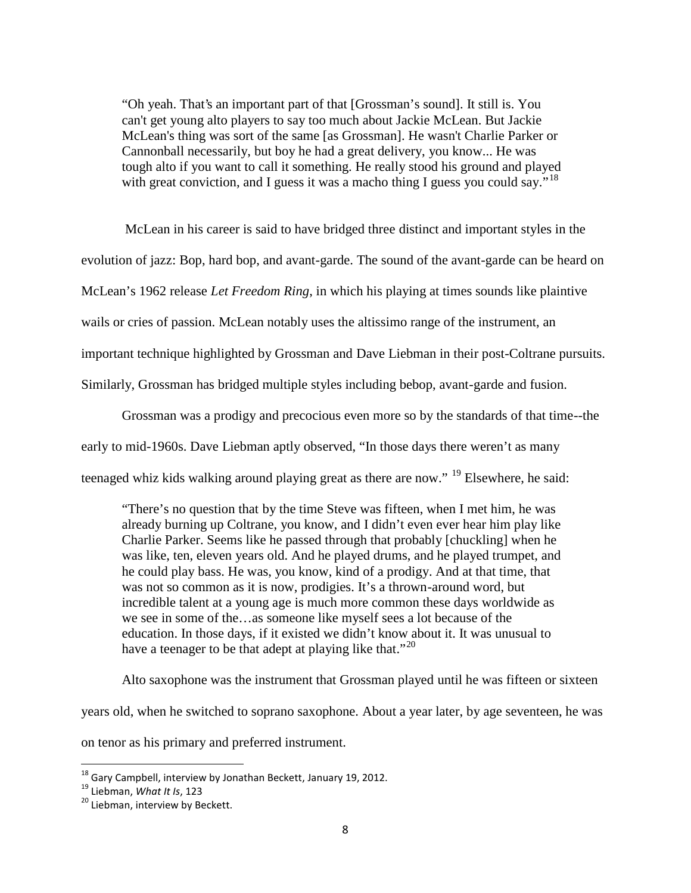"Oh yeah. That's an important part of that [Grossman's sound]. It still is. You can't get young alto players to say too much about Jackie McLean. But Jackie McLean's thing was sort of the same [as Grossman]. He wasn't Charlie Parker or Cannonball necessarily, but boy he had a great delivery, you know... He was tough alto if you want to call it something. He really stood his ground and played with great conviction, and I guess it was a macho thing I guess you could say."<sup>18</sup>

McLean in his career is said to have bridged three distinct and important styles in the evolution of jazz: Bop, hard bop, and avant-garde. The sound of the avant-garde can be heard on McLean's 1962 release *Let Freedom Ring*, in which his playing at times sounds like plaintive wails or cries of passion. McLean notably uses the altissimo range of the instrument, an important technique highlighted by Grossman and Dave Liebman in their post-Coltrane pursuits. Similarly, Grossman has bridged multiple styles including bebop, avant-garde and fusion.

Grossman was a prodigy and precocious even more so by the standards of that time--the early to mid-1960s. Dave Liebman aptly observed, "In those days there weren't as many teenaged whiz kids walking around playing great as there are now." <sup>19</sup> Elsewhere, he said:

"There's no question that by the time Steve was fifteen, when I met him, he was already burning up Coltrane, you know, and I didn't even ever hear him play like Charlie Parker. Seems like he passed through that probably [chuckling] when he was like, ten, eleven years old. And he played drums, and he played trumpet, and he could play bass. He was, you know, kind of a prodigy. And at that time, that was not so common as it is now, prodigies. It's a thrown-around word, but incredible talent at a young age is much more common these days worldwide as we see in some of the…as someone like myself sees a lot because of the education. In those days, if it existed we didn't know about it. It was unusual to have a teenager to be that adept at playing like that."<sup>20</sup>

Alto saxophone was the instrument that Grossman played until he was fifteen or sixteen years old, when he switched to soprano saxophone. About a year later, by age seventeen, he was on tenor as his primary and preferred instrument.

<sup>&</sup>lt;sup>18</sup> Gary Campbell, interview by Jonathan Beckett, January 19, 2012.

<sup>19</sup> Liebman, *What It Is*, 123

<sup>&</sup>lt;sup>20</sup> Liebman, interview by Beckett.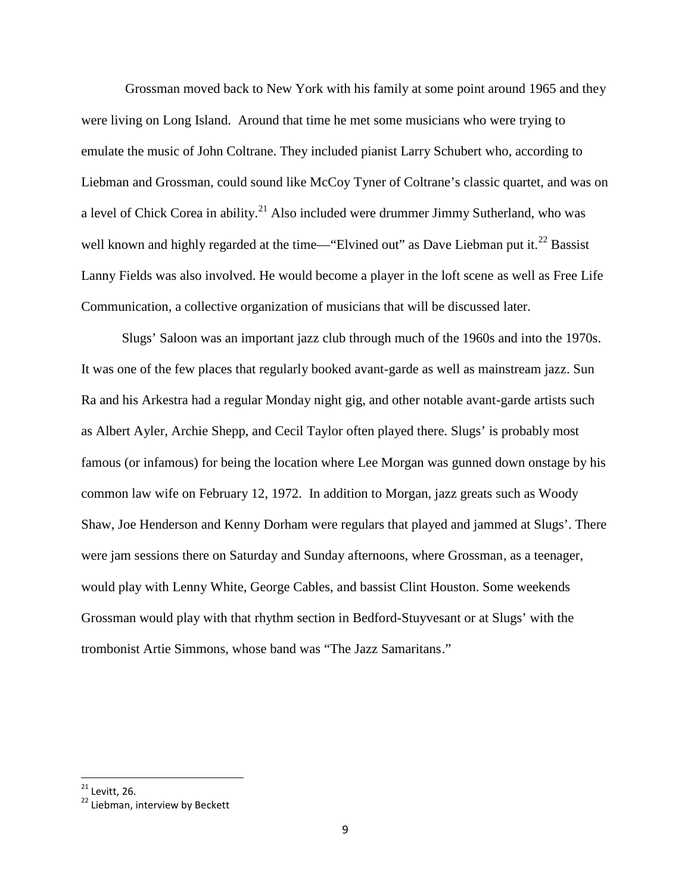Grossman moved back to New York with his family at some point around 1965 and they were living on Long Island. Around that time he met some musicians who were trying to emulate the music of John Coltrane. They included pianist Larry Schubert who, according to Liebman and Grossman, could sound like McCoy Tyner of Coltrane's classic quartet, and was on a level of Chick Corea in ability. $21$  Also included were drummer Jimmy Sutherland, who was well known and highly regarded at the time—"Elvined out" as Dave Liebman put it.<sup>22</sup> Bassist Lanny Fields was also involved. He would become a player in the loft scene as well as Free Life Communication, a collective organization of musicians that will be discussed later.

Slugs' Saloon was an important jazz club through much of the 1960s and into the 1970s. It was one of the few places that regularly booked avant-garde as well as mainstream jazz. Sun Ra and his Arkestra had a regular Monday night gig, and other notable avant-garde artists such as Albert Ayler, Archie Shepp, and Cecil Taylor often played there. Slugs' is probably most famous (or infamous) for being the location where Lee Morgan was gunned down onstage by his common law wife on February 12, 1972. In addition to Morgan, jazz greats such as Woody Shaw, Joe Henderson and Kenny Dorham were regulars that played and jammed at Slugs'. There were jam sessions there on Saturday and Sunday afternoons, where Grossman, as a teenager, would play with Lenny White, George Cables, and bassist Clint Houston. Some weekends Grossman would play with that rhythm section in Bedford-Stuyvesant or at Slugs' with the trombonist Artie Simmons, whose band was "The Jazz Samaritans."

 $21$  Levitt, 26.

<sup>&</sup>lt;sup>22</sup> Liebman, interview by Beckett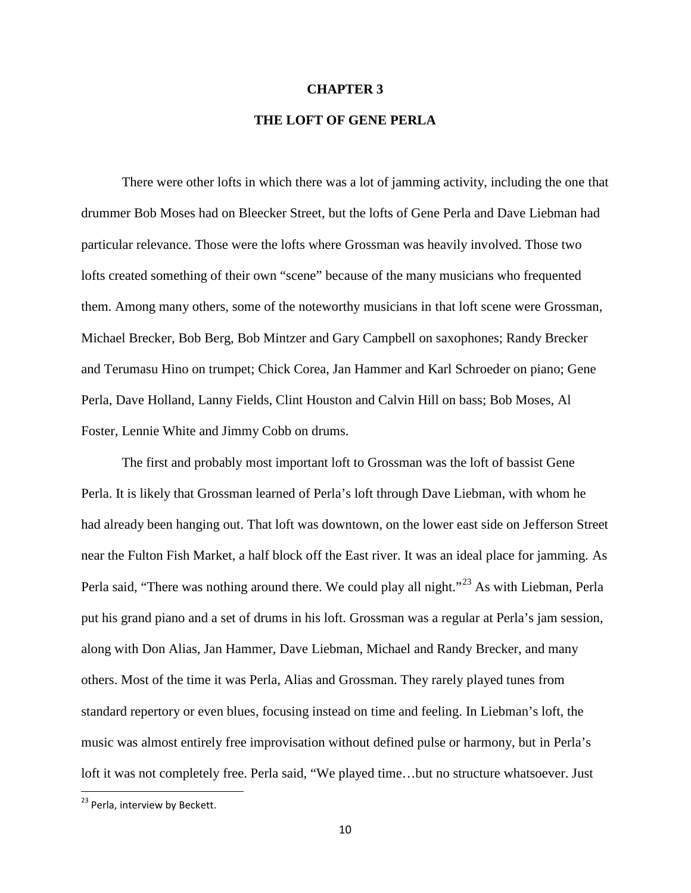#### **CHAPTER 3**

## **THE LOFT OF GENE PERLA**

There were other lofts in which there was a lot of jamming activity, including the one that drummer Bob Moses had on Bleecker Street, but the lofts of Gene Perla and Dave Liebman had particular relevance. Those were the lofts where Grossman was heavily involved. Those two lofts created something of their own "scene" because of the many musicians who frequented them. Among many others, some of the noteworthy musicians in that loft scene were Grossman, Michael Brecker, Bob Berg, Bob Mintzer and Gary Campbell on saxophones; Randy Brecker and Terumasu Hino on trumpet; Chick Corea, Jan Hammer and Karl Schroeder on piano; Gene Perla, Dave Holland, Lanny Fields, Clint Houston and Calvin Hill on bass; Bob Moses, Al Foster, Lennie White and Jimmy Cobb on drums.

The first and probably most important loft to Grossman was the loft of bassist Gene Perla. It is likely that Grossman learned of Perla's loft through Dave Liebman, with whom he had already been hanging out. That loft was downtown, on the lower east side on Jefferson Street near the Fulton Fish Market, a half block off the East river. It was an ideal place for jamming. As Perla said, "There was nothing around there. We could play all night."<sup>23</sup> As with Liebman, Perla put his grand piano and a set of drums in his loft. Grossman was a regular at Perla's jam session, along with Don Alias, Jan Hammer, Dave Liebman, Michael and Randy Brecker, and many others. Most of the time it was Perla, Alias and Grossman. They rarely played tunes from standard repertory or even blues, focusing instead on time and feeling. In Liebman's loft, the music was almost entirely free improvisation without defined pulse or harmony, but in Perla's loft it was not completely free. Perla said, "We played time…but no structure whatsoever. Just

<sup>&</sup>lt;sup>23</sup> Perla. interview by Beckett.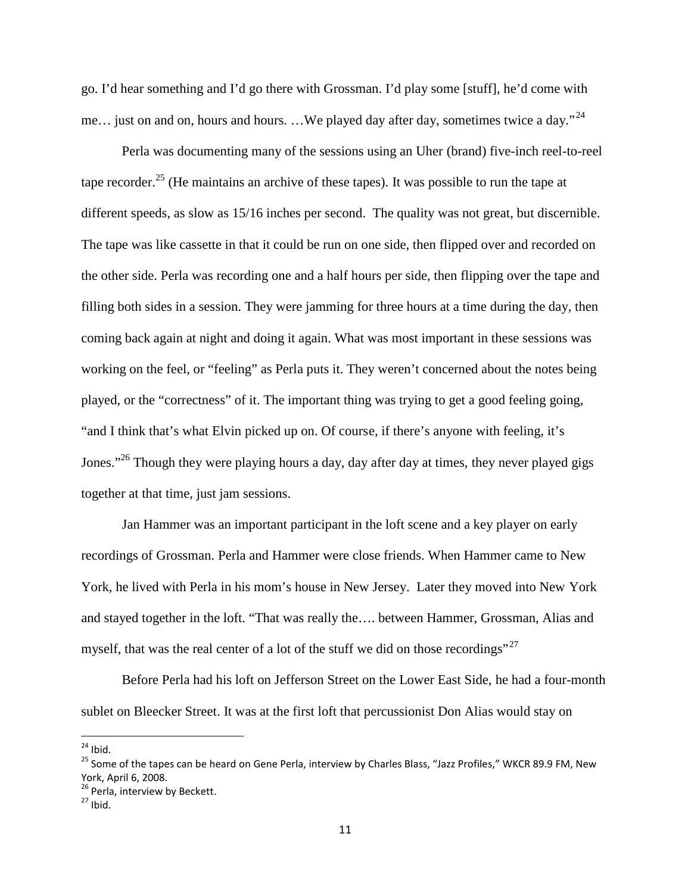go. I'd hear something and I'd go there with Grossman. I'd play some [stuff], he'd come with me... just on and on, hours and hours. ...We played day after day, sometimes twice a day."<sup>24</sup>

Perla was documenting many of the sessions using an Uher (brand) five-inch reel-to-reel tape recorder.<sup>25</sup> (He maintains an archive of these tapes). It was possible to run the tape at different speeds, as slow as 15/16 inches per second. The quality was not great, but discernible. The tape was like cassette in that it could be run on one side, then flipped over and recorded on the other side. Perla was recording one and a half hours per side, then flipping over the tape and filling both sides in a session. They were jamming for three hours at a time during the day, then coming back again at night and doing it again. What was most important in these sessions was working on the feel, or "feeling" as Perla puts it. They weren't concerned about the notes being played, or the "correctness" of it. The important thing was trying to get a good feeling going, "and I think that's what Elvin picked up on. Of course, if there's anyone with feeling, it's Jones."<sup>26</sup> Though they were playing hours a day, day after day at times, they never played gigs together at that time, just jam sessions.

Jan Hammer was an important participant in the loft scene and a key player on early recordings of Grossman. Perla and Hammer were close friends. When Hammer came to New York, he lived with Perla in his mom's house in New Jersey. Later they moved into New York and stayed together in the loft. "That was really the…. between Hammer, Grossman, Alias and myself, that was the real center of a lot of the stuff we did on those recordings"<sup>27</sup>

Before Perla had his loft on Jefferson Street on the Lower East Side, he had a four-month sublet on Bleecker Street. It was at the first loft that percussionist Don Alias would stay on

 $24$  Ibid.

<sup>&</sup>lt;sup>25</sup> Some of the tapes can be heard on Gene Perla, interview by Charles Blass, "Jazz Profiles," WKCR 89.9 FM, New York, April 6, 2008.

<sup>&</sup>lt;sup>26</sup> Perla, interview by Beckett.

 $27$  Ibid.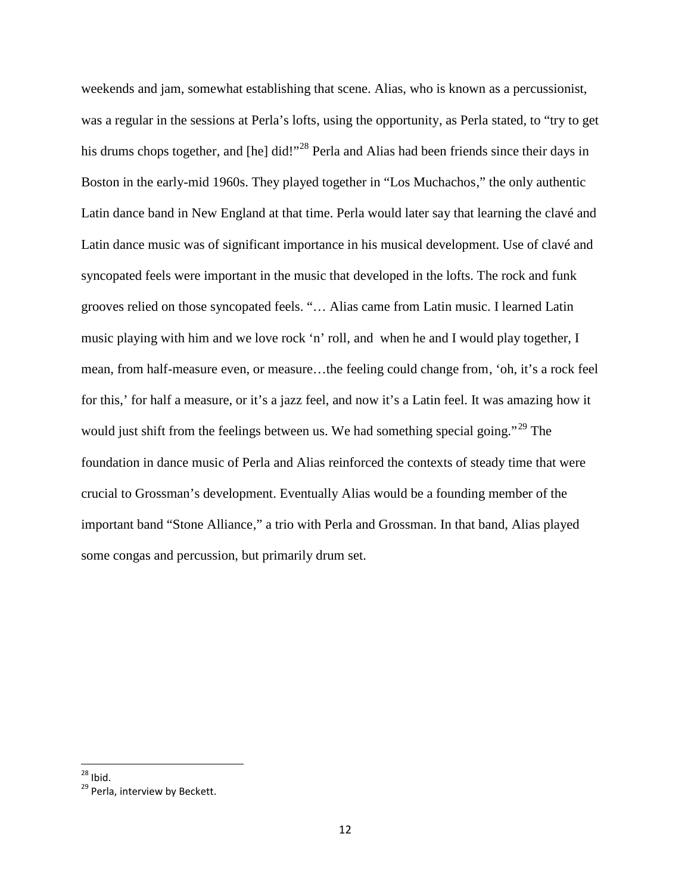weekends and jam, somewhat establishing that scene. Alias, who is known as a percussionist, was a regular in the sessions at Perla's lofts, using the opportunity, as Perla stated, to "try to get his drums chops together, and [he] did!"<sup>28</sup> Perla and Alias had been friends since their days in Boston in the early-mid 1960s. They played together in "Los Muchachos," the only authentic Latin dance band in New England at that time. Perla would later say that learning the clavé and Latin dance music was of significant importance in his musical development. Use of clavé and syncopated feels were important in the music that developed in the lofts. The rock and funk grooves relied on those syncopated feels. "… Alias came from Latin music. I learned Latin music playing with him and we love rock 'n' roll, and when he and I would play together, I mean, from half-measure even, or measure…the feeling could change from, 'oh, it's a rock feel for this,' for half a measure, or it's a jazz feel, and now it's a Latin feel. It was amazing how it would just shift from the feelings between us. We had something special going."<sup>29</sup> The foundation in dance music of Perla and Alias reinforced the contexts of steady time that were crucial to Grossman's development. Eventually Alias would be a founding member of the important band "Stone Alliance," a trio with Perla and Grossman. In that band, Alias played some congas and percussion, but primarily drum set.

 $28$  Ibid.

<sup>&</sup>lt;sup>29</sup> Perla, interview by Beckett.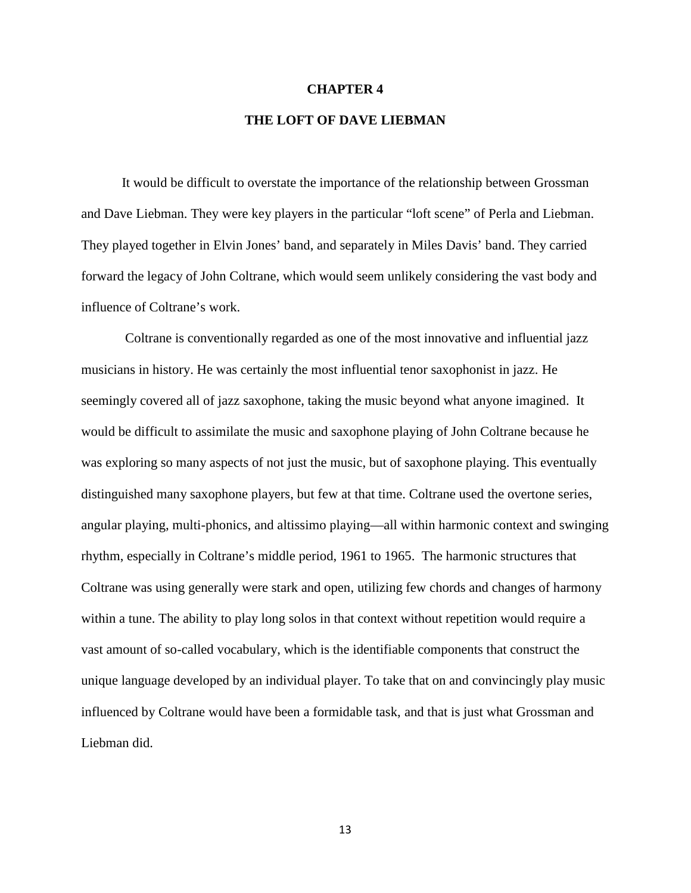#### **CHAPTER 4**

### **THE LOFT OF DAVE LIEBMAN**

It would be difficult to overstate the importance of the relationship between Grossman and Dave Liebman. They were key players in the particular "loft scene" of Perla and Liebman. They played together in Elvin Jones' band, and separately in Miles Davis' band. They carried forward the legacy of John Coltrane, which would seem unlikely considering the vast body and influence of Coltrane's work.

Coltrane is conventionally regarded as one of the most innovative and influential jazz musicians in history. He was certainly the most influential tenor saxophonist in jazz. He seemingly covered all of jazz saxophone, taking the music beyond what anyone imagined. It would be difficult to assimilate the music and saxophone playing of John Coltrane because he was exploring so many aspects of not just the music, but of saxophone playing. This eventually distinguished many saxophone players, but few at that time. Coltrane used the overtone series, angular playing, multi-phonics, and altissimo playing—all within harmonic context and swinging rhythm, especially in Coltrane's middle period, 1961 to 1965. The harmonic structures that Coltrane was using generally were stark and open, utilizing few chords and changes of harmony within a tune. The ability to play long solos in that context without repetition would require a vast amount of so-called vocabulary, which is the identifiable components that construct the unique language developed by an individual player. To take that on and convincingly play music influenced by Coltrane would have been a formidable task, and that is just what Grossman and Liebman did.

13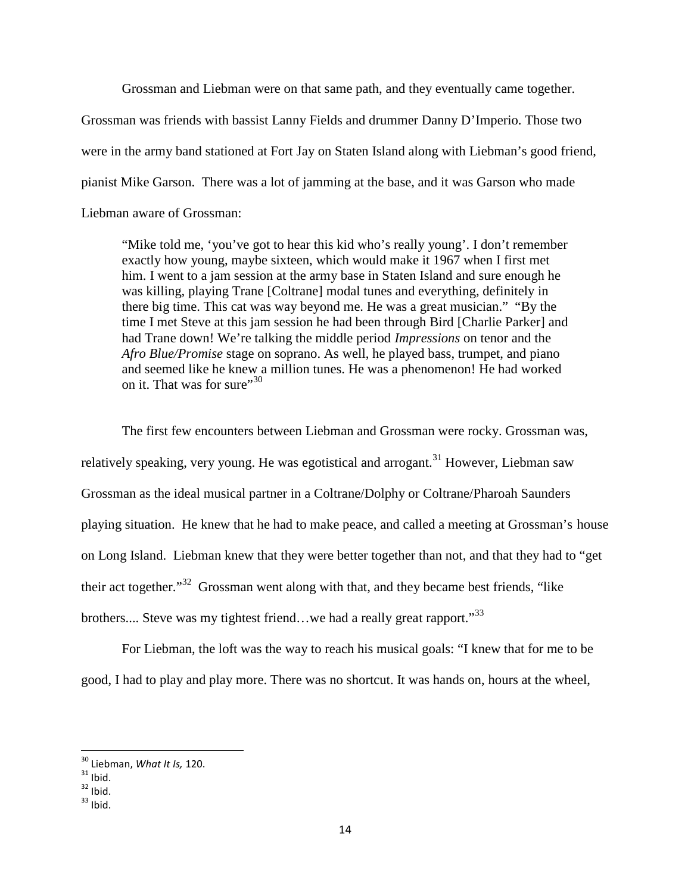Grossman and Liebman were on that same path, and they eventually came together. Grossman was friends with bassist Lanny Fields and drummer Danny D'Imperio. Those two were in the army band stationed at Fort Jay on Staten Island along with Liebman's good friend, pianist Mike Garson. There was a lot of jamming at the base, and it was Garson who made Liebman aware of Grossman:

"Mike told me, 'you've got to hear this kid who's really young'. I don't remember exactly how young, maybe sixteen, which would make it 1967 when I first met him. I went to a jam session at the army base in Staten Island and sure enough he was killing, playing Trane [Coltrane] modal tunes and everything, definitely in there big time. This cat was way beyond me. He was a great musician." "By the time I met Steve at this jam session he had been through Bird [Charlie Parker] and had Trane down! We're talking the middle period *Impressions* on tenor and the *Afro Blue/Promise* stage on soprano. As well, he played bass, trumpet, and piano and seemed like he knew a million tunes. He was a phenomenon! He had worked on it. That was for sure" $30$ 

The first few encounters between Liebman and Grossman were rocky. Grossman was, relatively speaking, very young. He was egotistical and arrogant.<sup>31</sup> However, Liebman saw Grossman as the ideal musical partner in a Coltrane/Dolphy or Coltrane/Pharoah Saunders playing situation. He knew that he had to make peace, and called a meeting at Grossman's house on Long Island. Liebman knew that they were better together than not, and that they had to "get their act together."<sup>32</sup> Grossman went along with that, and they became best friends, "like brothers.... Steve was my tightest friend...we had a really great rapport."<sup>33</sup>

For Liebman, the loft was the way to reach his musical goals: "I knew that for me to be good, I had to play and play more. There was no shortcut. It was hands on, hours at the wheel,

<sup>30</sup> Liebman, *What It Is,* 120.

 $31$  Ibid.

 $32$  Ibid.

 $33$  Ibid.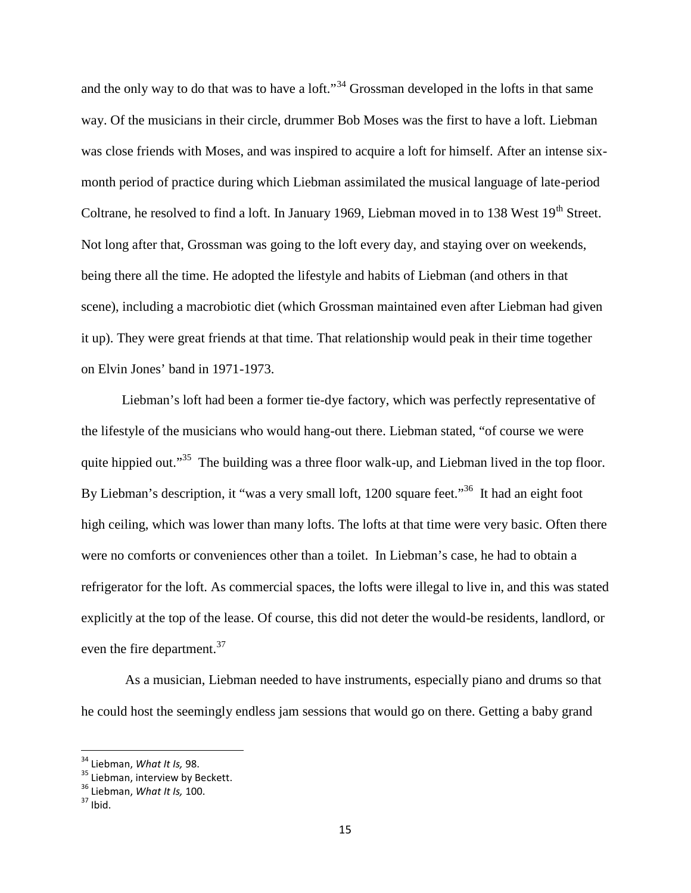and the only way to do that was to have a loft."<sup>34</sup> Grossman developed in the lofts in that same way. Of the musicians in their circle, drummer Bob Moses was the first to have a loft. Liebman was close friends with Moses, and was inspired to acquire a loft for himself. After an intense six month period of practice during which Liebman assimilated the musical language of late-period Coltrane, he resolved to find a loft. In January 1969, Liebman moved in to 138 West 19<sup>th</sup> Street. Not long after that, Grossman was going to the loft every day, and staying over on weekends, being there all the time. He adopted the lifestyle and habits of Liebman (and others in that scene), including a macrobiotic diet (which Grossman maintained even after Liebman had given it up). They were great friends at that time. That relationship would peak in their time together on Elvin Jones' band in 1971-1973.

Liebman's loft had been a former tie-dye factory, which was perfectly representative of the lifestyle of the musicians who would hang-out there. Liebman stated, "of course we were quite hippied out."<sup>35</sup> The building was a three floor walk-up, and Liebman lived in the top floor. By Liebman's description, it "was a very small loft, 1200 square feet."<sup>36</sup> It had an eight foot high ceiling, which was lower than many lofts. The lofts at that time were very basic. Often there were no comforts or conveniences other than a toilet. In Liebman's case, he had to obtain a refrigerator for the loft. As commercial spaces, the lofts were illegal to live in, and this was stated explicitly at the top of the lease. Of course, this did not deter the would-be residents, landlord, or even the fire department.<sup>37</sup>

As a musician, Liebman needed to have instruments, especially piano and drums so that he could host the seemingly endless jam sessions that would go on there. Getting a baby grand

<sup>34</sup> Liebman, *What It Is,* 98.

<sup>&</sup>lt;sup>35</sup> Liebman, interview by Beckett.

<sup>36</sup> Liebman, *What It Is,* 100.

 $37$  Ibid.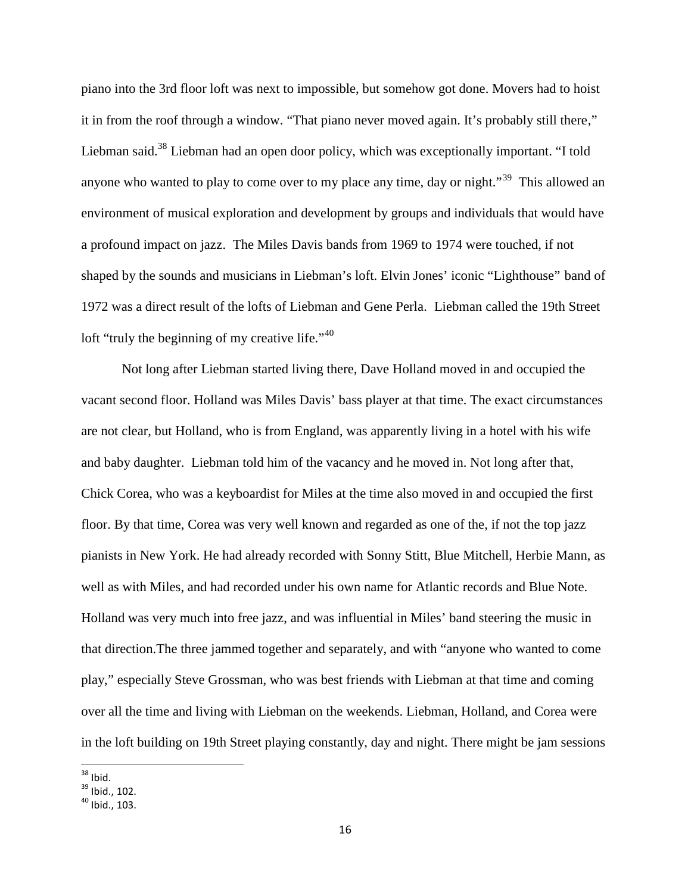piano into the 3rd floor loft was next to impossible, but somehow got done. Movers had to hoist it in from the roof through a window. "That piano never moved again. It's probably still there," Liebman said.<sup>38</sup> Liebman had an open door policy, which was exceptionally important. "I told anyone who wanted to play to come over to my place any time, day or night."<sup>39</sup> This allowed an environment of musical exploration and development by groups and individuals that would have a profound impact on jazz. The Miles Davis bands from 1969 to 1974 were touched, if not shaped by the sounds and musicians in Liebman's loft. Elvin Jones' iconic "Lighthouse" band of 1972 was a direct result of the lofts of Liebman and Gene Perla. Liebman called the 19th Street loft "truly the beginning of my creative life." $40$ 

Not long after Liebman started living there, Dave Holland moved in and occupied the vacant second floor. Holland was Miles Davis' bass player at that time. The exact circumstances are not clear, but Holland, who is from England, was apparently living in a hotel with his wife and baby daughter. Liebman told him of the vacancy and he moved in. Not long after that, Chick Corea, who was a keyboardist for Miles at the time also moved in and occupied the first floor. By that time, Corea was very well known and regarded as one of the, if not the top jazz pianists in New York. He had already recorded with Sonny Stitt, Blue Mitchell, Herbie Mann, as well as with Miles, and had recorded under his own name for Atlantic records and Blue Note. Holland was very much into free jazz, and was influential in Miles' band steering the music in that direction.The three jammed together and separately, and with "anyone who wanted to come play," especially Steve Grossman, who was best friends with Liebman at that time and coming over all the time and living with Liebman on the weekends. Liebman, Holland, and Corea were in the loft building on 19th Street playing constantly, day and night. There might be jam sessions

 $38$  Ibid.

 $39$  Ibid., 102.

<sup>40</sup> Ibid., 103.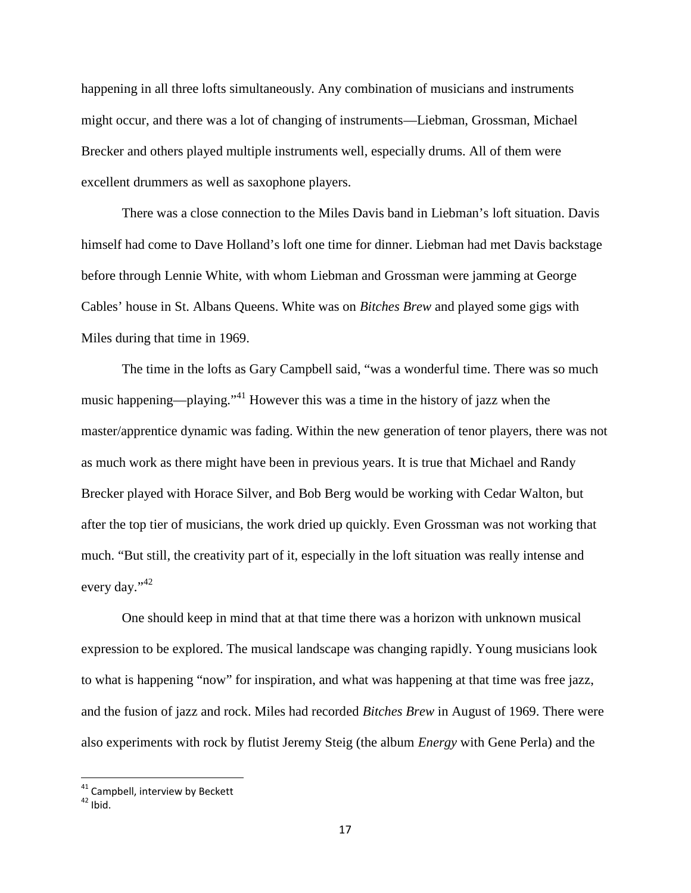happening in all three lofts simultaneously. Any combination of musicians and instruments might occur, and there was a lot of changing of instruments—Liebman, Grossman, Michael Brecker and others played multiple instruments well, especially drums. All of them were excellent drummers as well as saxophone players.

There was a close connection to the Miles Davis band in Liebman's loft situation. Davis himself had come to Dave Holland's loft one time for dinner. Liebman had met Davis backstage before through Lennie White, with whom Liebman and Grossman were jamming at George Cables' house in St. Albans Queens. White was on *Bitches Brew* and played some gigs with Miles during that time in 1969.

The time in the lofts as Gary Campbell said, "was a wonderful time. There was so much music happening—playing."<sup>41</sup> However this was a time in the history of jazz when the master/apprentice dynamic was fading. Within the new generation of tenor players, there was not as much work as there might have been in previous years. It is true that Michael and Randy Brecker played with Horace Silver, and Bob Berg would be working with Cedar Walton, but after the top tier of musicians, the work dried up quickly. Even Grossman was not working that much. "But still, the creativity part of it, especially in the loft situation was really intense and every day."<sup>42</sup>

One should keep in mind that at that time there was a horizon with unknown musical expression to be explored. The musical landscape was changing rapidly. Young musicians look to what is happening "now" for inspiration, and what was happening at that time was free jazz, and the fusion of jazz and rock. Miles had recorded *Bitches Brew* in August of 1969. There were also experiments with rock by flutist Jeremy Steig (the album *Energy* with Gene Perla) and the

<sup>&</sup>lt;sup>41</sup> Campbell, interview by Beckett

 $42$  Ibid.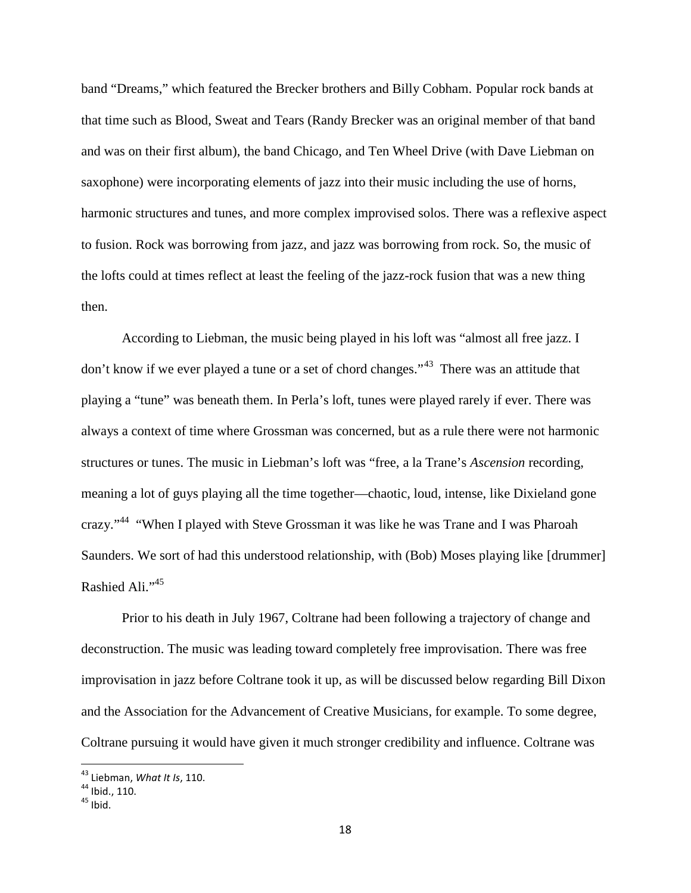band "Dreams," which featured the Brecker brothers and Billy Cobham. Popular rock bands at that time such as Blood, Sweat and Tears (Randy Brecker was an original member of that band and was on their first album), the band Chicago, and Ten Wheel Drive (with Dave Liebman on saxophone) were incorporating elements of jazz into their music including the use of horns, harmonic structures and tunes, and more complex improvised solos. There was a reflexive aspect to fusion. Rock was borrowing from jazz, and jazz was borrowing from rock. So, the music of the lofts could at times reflect at least the feeling of the jazz-rock fusion that was a new thing then.

According to Liebman, the music being played in his loft was "almost all free jazz. I don't know if we ever played a tune or a set of chord changes."<sup>43</sup> There was an attitude that playing a "tune" was beneath them. In Perla's loft, tunes were played rarely if ever. There was always a context of time where Grossman was concerned, but as a rule there were not harmonic structures or tunes. The music in Liebman's loft was "free, a la Trane's *Ascension* recording, meaning a lot of guys playing all the time together—chaotic, loud, intense, like Dixieland gone crazy."<sup>44</sup> "When I played with Steve Grossman it was like he was Trane and I was Pharoah Saunders. We sort of had this understood relationship, with (Bob) Moses playing like [drummer] Rashied Ali."<sup>45</sup>

Prior to his death in July 1967, Coltrane had been following a trajectory of change and deconstruction. The music was leading toward completely free improvisation. There was free improvisation in jazz before Coltrane took it up, as will be discussed below regarding Bill Dixon and the Association for the Advancement of Creative Musicians, for example. To some degree, Coltrane pursuing it would have given it much stronger credibility and influence. Coltrane was

<sup>43</sup> Liebman, *What It Is*, 110.

<sup>&</sup>lt;sup>44</sup> Ibid., 110.

 $45$  Ibid.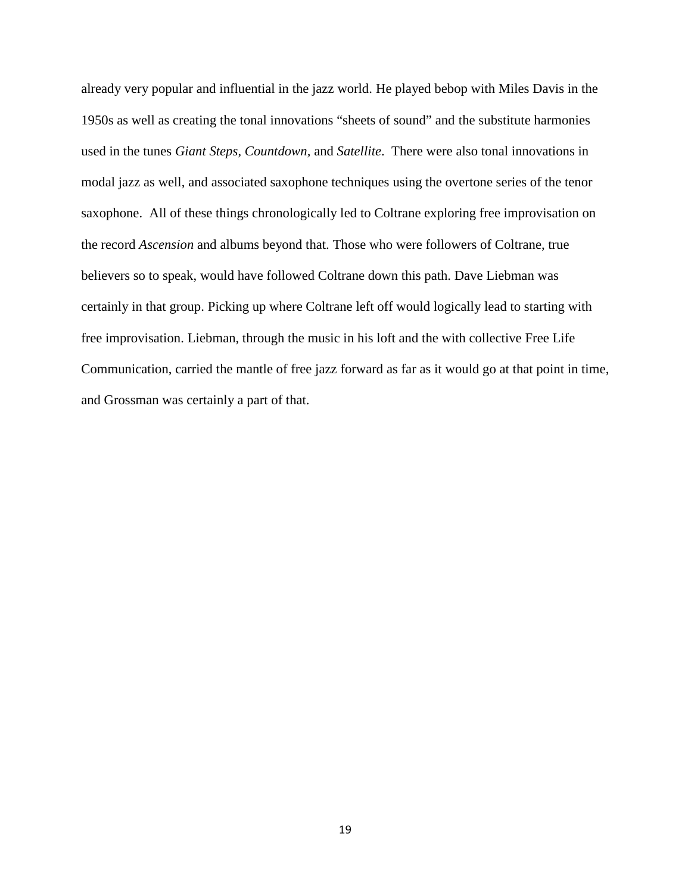already very popular and influential in the jazz world. He played bebop with Miles Davis in the 1950s as well as creating the tonal innovations "sheets of sound" and the substitute harmonies used in the tunes *Giant Steps*, *Countdown,* and *Satellite*. There were also tonal innovations in modal jazz as well, and associated saxophone techniques using the overtone series of the tenor saxophone. All of these things chronologically led to Coltrane exploring free improvisation on the record *Ascension* and albums beyond that. Those who were followers of Coltrane, true believers so to speak, would have followed Coltrane down this path. Dave Liebman was certainly in that group. Picking up where Coltrane left off would logically lead to starting with free improvisation. Liebman, through the music in his loft and the with collective Free Life Communication, carried the mantle of free jazz forward as far as it would go at that point in time, and Grossman was certainly a part of that.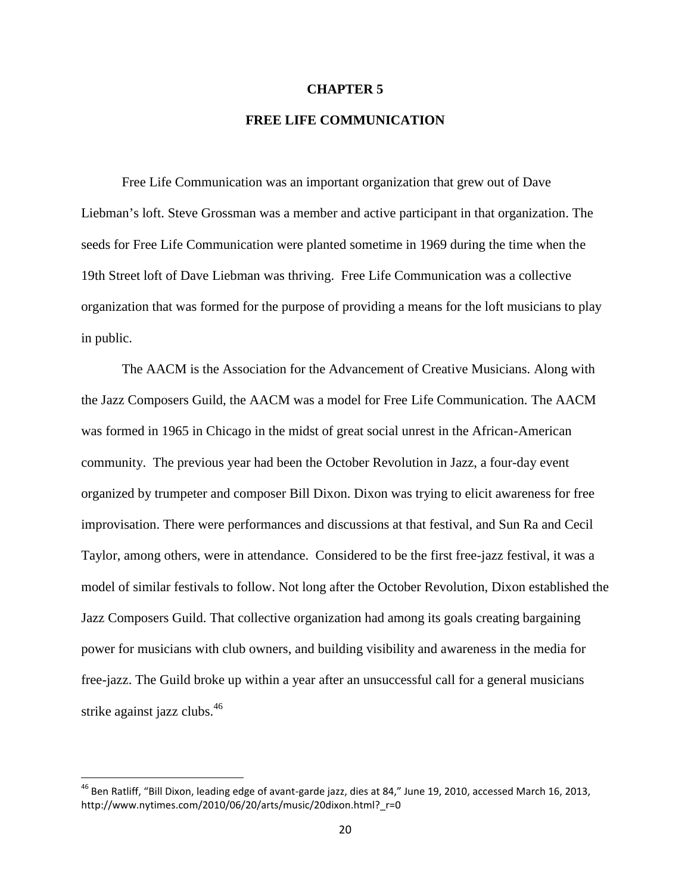#### **CHAPTER 5**

## **FREE LIFE COMMUNICATION**

Free Life Communication was an important organization that grew out of Dave Liebman's loft. Steve Grossman was a member and active participant in that organization. The seeds for Free Life Communication were planted sometime in 1969 during the time when the 19th Street loft of Dave Liebman was thriving. Free Life Communication was a collective organization that was formed for the purpose of providing a means for the loft musicians to play in public.

The AACM is the Association for the Advancement of Creative Musicians. Along with the Jazz Composers Guild, the AACM was a model for Free Life Communication. The AACM was formed in 1965 in Chicago in the midst of great social unrest in the African-American community. The previous year had been the October Revolution in Jazz, a four-day event organized by trumpeter and composer Bill Dixon. Dixon was trying to elicit awareness for free improvisation. There were performances and discussions at that festival, and Sun Ra and Cecil Taylor, among others, were in attendance. Considered to be the first free-jazz festival, it was a model of similar festivals to follow. Not long after the October Revolution, Dixon established the Jazz Composers Guild. That collective organization had among its goals creating bargaining power for musicians with club owners, and building visibility and awareness in the media for free-jazz. The Guild broke up within a year after an unsuccessful call for a general musicians strike against jazz clubs.<sup>46</sup>

<sup>&</sup>lt;sup>46</sup> Ben Ratliff, "Bill Dixon, leading edge of avant-garde jazz, dies at 84," June 19, 2010, accessed March 16, 2013, http://www.nytimes.com/2010/06/20/arts/music/20dixon.html? r=0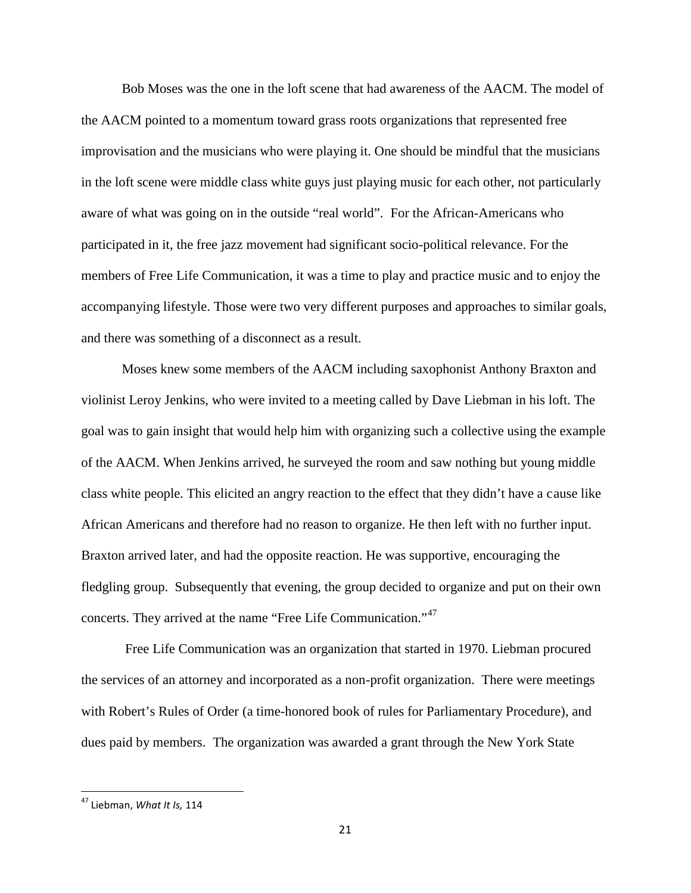Bob Moses was the one in the loft scene that had awareness of the AACM. The model of the AACM pointed to a momentum toward grass roots organizations that represented free improvisation and the musicians who were playing it. One should be mindful that the musicians in the loft scene were middle class white guys just playing music for each other, not particularly aware of what was going on in the outside "real world". For the African-Americans who participated in it, the free jazz movement had significant socio-political relevance. For the members of Free Life Communication, it was a time to play and practice music and to enjoy the accompanying lifestyle. Those were two very different purposes and approaches to similar goals, and there was something of a disconnect as a result.

Moses knew some members of the AACM including saxophonist Anthony Braxton and violinist Leroy Jenkins, who were invited to a meeting called by Dave Liebman in his loft. The goal was to gain insight that would help him with organizing such a collective using the example of the AACM. When Jenkins arrived, he surveyed the room and saw nothing but young middle class white people. This elicited an angry reaction to the effect that they didn't have a cause like African Americans and therefore had no reason to organize. He then left with no further input. Braxton arrived later, and had the opposite reaction. He was supportive, encouraging the fledgling group. Subsequently that evening, the group decided to organize and put on their own concerts. They arrived at the name "Free Life Communication."<sup>47</sup>

Free Life Communication was an organization that started in 1970. Liebman procured the services of an attorney and incorporated as a non-profit organization. There were meetings with Robert's Rules of Order (a time-honored book of rules for Parliamentary Procedure), and dues paid by members. The organization was awarded a grant through the New York State

<sup>47</sup> Liebman, *What It Is,* 114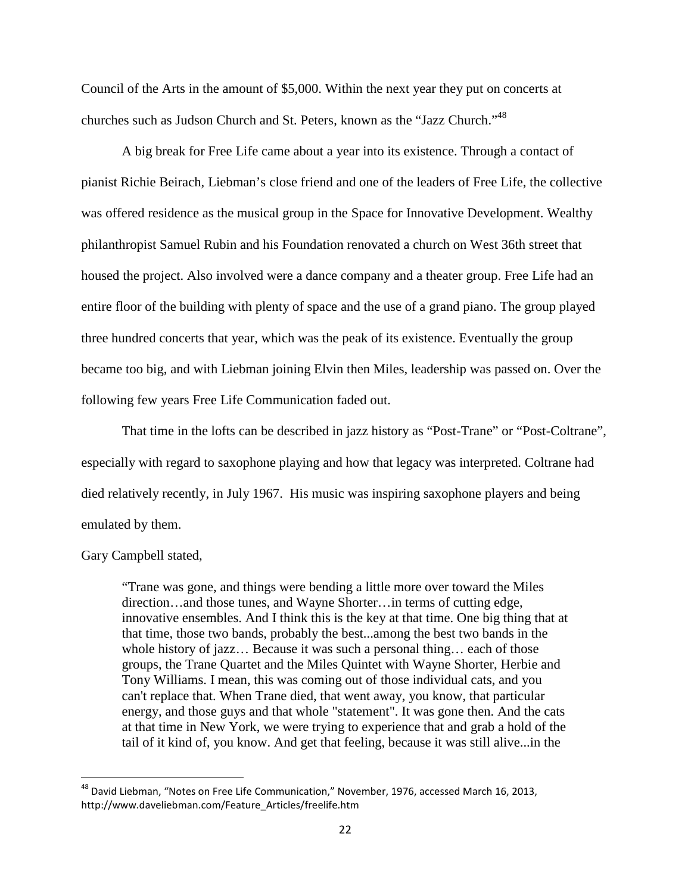Council of the Arts in the amount of \$5,000. Within the next year they put on concerts at churches such as Judson Church and St. Peters, known as the "Jazz Church."<sup>48</sup>

A big break for Free Life came about a year into its existence. Through a contact of pianist Richie Beirach, Liebman's close friend and one of the leaders of Free Life, the collective was offered residence as the musical group in the Space for Innovative Development. Wealthy philanthropist Samuel Rubin and his Foundation renovated a church on West 36th street that housed the project. Also involved were a dance company and a theater group. Free Life had an entire floor of the building with plenty of space and the use of a grand piano. The group played three hundred concerts that year, which was the peak of its existence. Eventually the group became too big, and with Liebman joining Elvin then Miles, leadership was passed on. Over the following few years Free Life Communication faded out.

That time in the lofts can be described in jazz history as "Post-Trane" or "Post-Coltrane", especially with regard to saxophone playing and how that legacy was interpreted. Coltrane had died relatively recently, in July 1967. His music was inspiring saxophone players and being emulated by them.

Gary Campbell stated,

"Trane was gone, and things were bending a little more over toward the Miles direction…and those tunes, and Wayne Shorter…in terms of cutting edge, innovative ensembles. And I think this is the key at that time. One big thing that at that time, those two bands, probably the best...among the best two bands in the whole history of jazz… Because it was such a personal thing… each of those groups, the Trane Quartet and the Miles Quintet with Wayne Shorter, Herbie and Tony Williams. I mean, this was coming out of those individual cats, and you can't replace that. When Trane died, that went away, you know, that particular energy, and those guys and that whole "statement". It was gone then. And the cats at that time in New York, we were trying to experience that and grab a hold of the tail of it kind of, you know. And get that feeling, because it was still alive...in the

 $^{48}$  David Liebman, "Notes on Free Life Communication," November, 1976, accessed March 16, 2013, http://www.daveliebman.com/Feature\_Articles/freelife.htm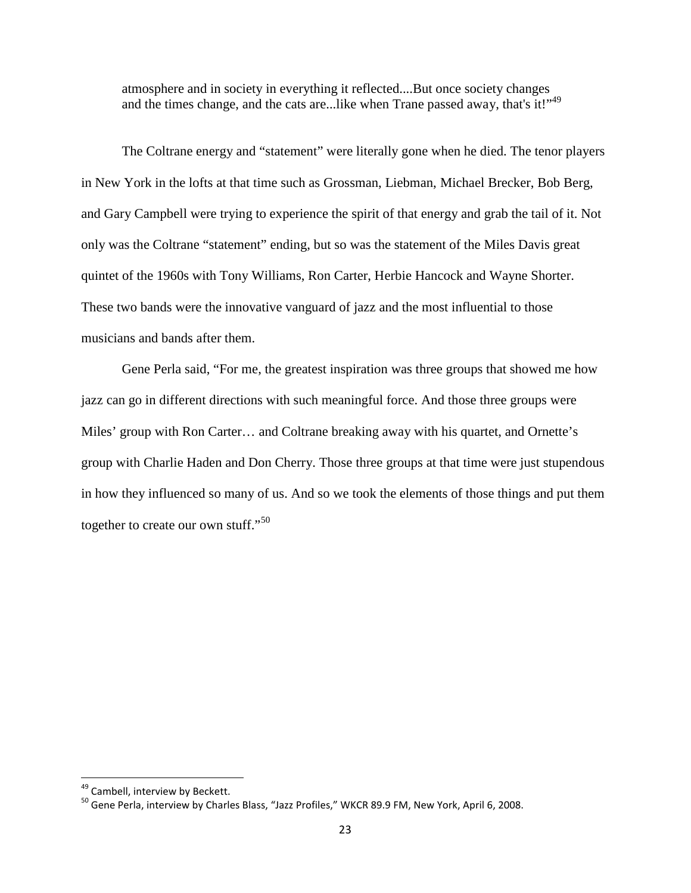atmosphere and in society in everything it reflected....But once society changes and the times change, and the cats are...like when Trane passed away, that's it!"<sup>49</sup>

The Coltrane energy and "statement" were literally gone when he died. The tenor players in New York in the lofts at that time such as Grossman, Liebman, Michael Brecker, Bob Berg, and Gary Campbell were trying to experience the spirit of that energy and grab the tail of it. Not only was the Coltrane "statement" ending, but so was the statement of the Miles Davis great quintet of the 1960s with Tony Williams, Ron Carter, Herbie Hancock and Wayne Shorter. These two bands were the innovative vanguard of jazz and the most influential to those musicians and bands after them.

Gene Perla said, "For me, the greatest inspiration was three groups that showed me how jazz can go in different directions with such meaningful force. And those three groups were Miles' group with Ron Carter… and Coltrane breaking away with his quartet, and Ornette's group with Charlie Haden and Don Cherry. Those three groups at that time were just stupendous in how they influenced so many of us. And so we took the elements of those things and put them together to create our own stuff."<sup>50</sup>

<sup>&</sup>lt;sup>49</sup> Cambell, interview by Beckett.

<sup>&</sup>lt;sup>50</sup> Gene Perla, interview by Charles Blass, "Jazz Profiles," WKCR 89.9 FM, New York, April 6, 2008.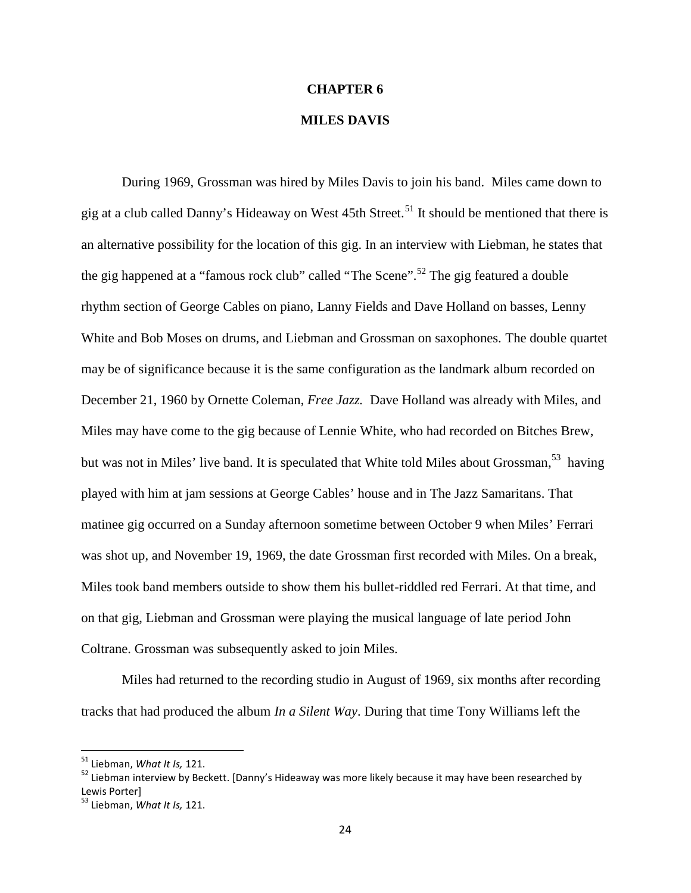#### **CHAPTER 6**

### **MILES DAVIS**

During 1969, Grossman was hired by Miles Davis to join his band. Miles came down to gig at a club called Danny's Hideaway on West  $45$ th Street.<sup>51</sup> It should be mentioned that there is an alternative possibility for the location of this gig. In an interview with Liebman, he states that the gig happened at a "famous rock club" called "The Scene".<sup>52</sup> The gig featured a double rhythm section of George Cables on piano, Lanny Fields and Dave Holland on basses, Lenny White and Bob Moses on drums, and Liebman and Grossman on saxophones. The double quartet may be of significance because it is the same configuration as the landmark album recorded on December 21, 1960 by Ornette Coleman, *Free Jazz.* Dave Holland was already with Miles, and Miles may have come to the gig because of Lennie White, who had recorded on Bitches Brew, but was not in Miles' live band. It is speculated that White told Miles about Grossman,<sup>53</sup> having played with him at jam sessions at George Cables' house and in The Jazz Samaritans. That matinee gig occurred on a Sunday afternoon sometime between October 9 when Miles' Ferrari was shot up, and November 19, 1969, the date Grossman first recorded with Miles. On a break, Miles took band members outside to show them his bullet-riddled red Ferrari. At that time, and on that gig, Liebman and Grossman were playing the musical language of late period John Coltrane. Grossman was subsequently asked to join Miles.

Miles had returned to the recording studio in August of 1969, six months after recording tracks that had produced the album *In a Silent Way*. During that time Tony Williams left the

<sup>51</sup> Liebman, *What It Is,* 121.

<sup>&</sup>lt;sup>52</sup> Liebman interview by Beckett. [Danny's Hideaway was more likely because it may have been researched by Lewis Porter]

<sup>53</sup> Liebman, *What It Is,* 121.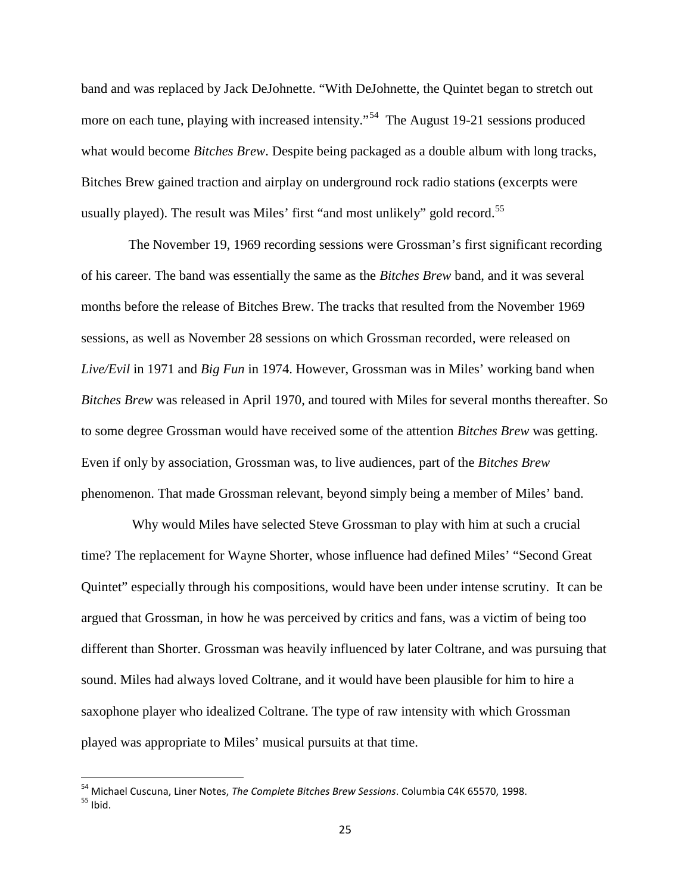band and was replaced by Jack DeJohnette. "With DeJohnette, the Quintet began to stretch out more on each tune, playing with increased intensity."<sup>54</sup> The August 19-21 sessions produced what would become *Bitches Brew*. Despite being packaged as a double album with long tracks, Bitches Brew gained traction and airplay on underground rock radio stations (excerpts were usually played). The result was Miles' first "and most unlikely" gold record.<sup>55</sup>

The November 19, 1969 recording sessions were Grossman's first significant recording of his career. The band was essentially the same as the *Bitches Brew* band, and it was several months before the release of Bitches Brew. The tracks that resulted from the November 1969 sessions, as well as November 28 sessions on which Grossman recorded, were released on *Live/Evil* in 1971 and *Big Fun* in 1974. However, Grossman was in Miles' working band when *Bitches Brew* was released in April 1970, and toured with Miles for several months thereafter. So to some degree Grossman would have received some of the attention *Bitches Brew* was getting. Even if only by association, Grossman was, to live audiences, part of the *Bitches Brew* phenomenon. That made Grossman relevant, beyond simply being a member of Miles' band.

Why would Miles have selected Steve Grossman to play with him at such a crucial time? The replacement for Wayne Shorter, whose influence had defined Miles' "Second Great Quintet" especially through his compositions, would have been under intense scrutiny. It can be argued that Grossman, in how he was perceived by critics and fans, was a victim of being too different than Shorter. Grossman was heavily influenced by later Coltrane, and was pursuing that sound. Miles had always loved Coltrane, and it would have been plausible for him to hire a saxophone player who idealized Coltrane. The type of raw intensity with which Grossman played was appropriate to Miles' musical pursuits at that time.

<sup>54</sup> Michael Cuscuna, Liner Notes, *The Complete Bitches Brew Sessions*. Columbia C4K 65570, 1998.  $55$  Ibid.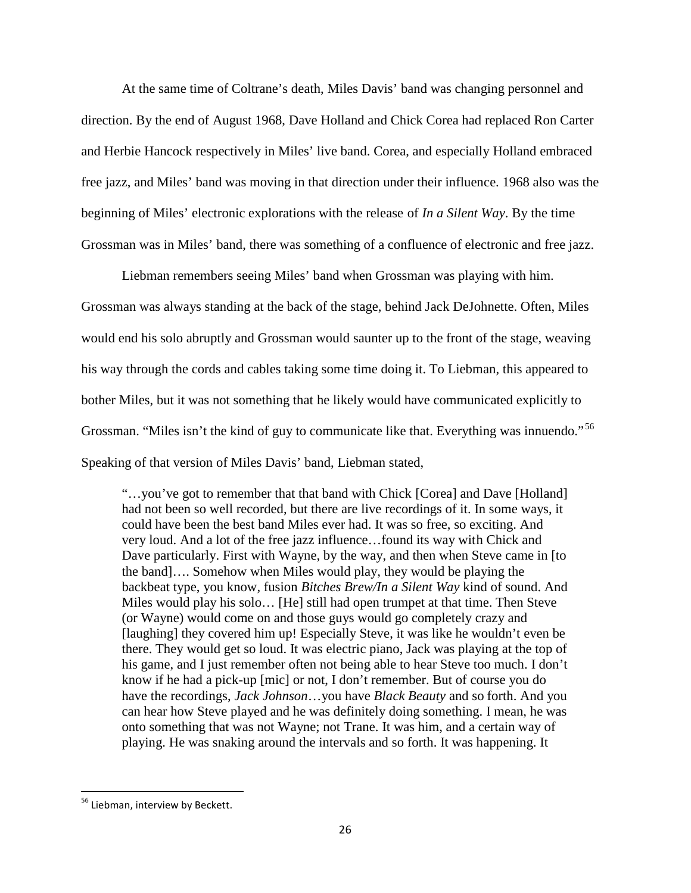At the same time of Coltrane's death, Miles Davis' band was changing personnel and direction. By the end of August 1968, Dave Holland and Chick Corea had replaced Ron Carter and Herbie Hancock respectively in Miles' live band. Corea, and especially Holland embraced free jazz, and Miles' band was moving in that direction under their influence. 1968 also was the beginning of Miles' electronic explorations with the release of *In a Silent Way*. By the time Grossman was in Miles' band, there was something of a confluence of electronic and free jazz.

Liebman remembers seeing Miles' band when Grossman was playing with him. Grossman was always standing at the back of the stage, behind Jack DeJohnette. Often, Miles would end his solo abruptly and Grossman would saunter up to the front of the stage, weaving his way through the cords and cables taking some time doing it. To Liebman, this appeared to bother Miles, but it was not something that he likely would have communicated explicitly to Grossman. "Miles isn't the kind of guy to communicate like that. Everything was innuendo."<sup>56</sup> Speaking of that version of Miles Davis' band, Liebman stated,

"…you've got to remember that that band with Chick [Corea] and Dave [Holland] had not been so well recorded, but there are live recordings of it. In some ways, it could have been the best band Miles ever had. It was so free, so exciting. And very loud. And a lot of the free jazz influence…found its way with Chick and Dave particularly. First with Wayne, by the way, and then when Steve came in [to the band]…. Somehow when Miles would play, they would be playing the backbeat type, you know, fusion *Bitches Brew/In a Silent Way* kind of sound. And Miles would play his solo… [He] still had open trumpet at that time. Then Steve (or Wayne) would come on and those guys would go completely crazy and [laughing] they covered him up! Especially Steve, it was like he wouldn't even be there. They would get so loud. It was electric piano, Jack was playing at the top of his game, and I just remember often not being able to hear Steve too much. I don't know if he had a pick-up [mic] or not, I don't remember. But of course you do have the recordings, *Jack Johnson*…you have *Black Beauty* and so forth. And you can hear how Steve played and he was definitely doing something. I mean, he was onto something that was not Wayne; not Trane. It was him, and a certain way of playing. He was snaking around the intervals and so forth. It was happening. It

<sup>&</sup>lt;sup>56</sup> Liebman, interview by Beckett.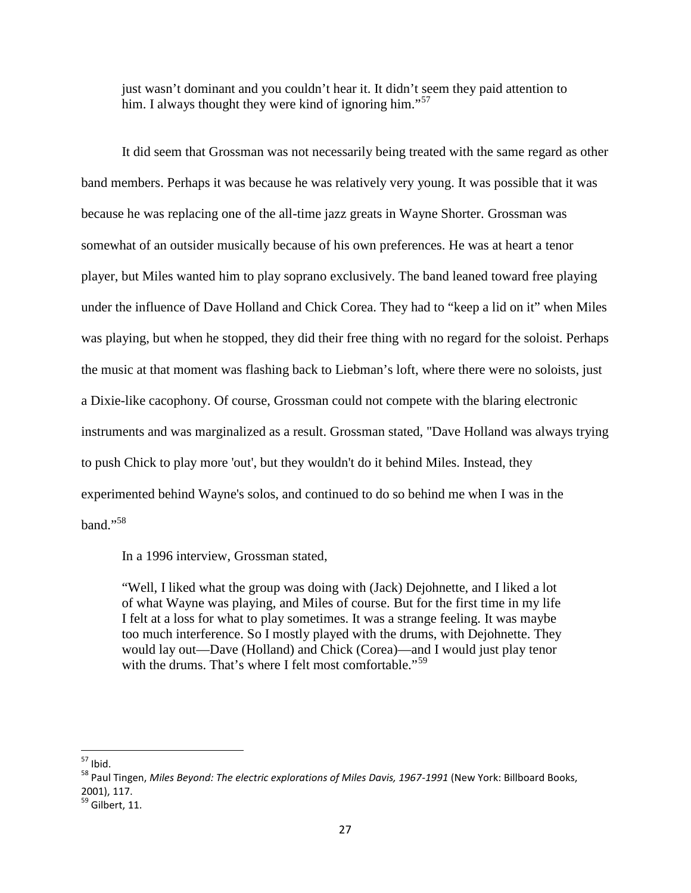just wasn't dominant and you couldn't hear it. It didn't seem they paid attention to him. I always thought they were kind of ignoring him."<sup>57</sup>

It did seem that Grossman was not necessarily being treated with the same regard as other band members. Perhaps it was because he was relatively very young. It was possible that it was because he was replacing one of the all-time jazz greats in Wayne Shorter. Grossman was somewhat of an outsider musically because of his own preferences. He was at heart a tenor player, but Miles wanted him to play soprano exclusively. The band leaned toward free playing under the influence of Dave Holland and Chick Corea. They had to "keep a lid on it" when Miles was playing, but when he stopped, they did their free thing with no regard for the soloist. Perhaps the music at that moment was flashing back to Liebman's loft, where there were no soloists, just a Dixie-like cacophony. Of course, Grossman could not compete with the blaring electronic instruments and was marginalized as a result. Grossman stated, "Dave Holland was always trying to push Chick to play more 'out', but they wouldn't do it behind Miles. Instead, they experimented behind Wayne's solos, and continued to do so behind me when I was in the band."<sup>58</sup>

In a 1996 interview, Grossman stated,

"Well, I liked what the group was doing with (Jack) Dejohnette, and I liked a lot of what Wayne was playing, and Miles of course. But for the first time in my life I felt at a loss for what to play sometimes. It was a strange feeling. It was maybe too much interference. So I mostly played with the drums, with Dejohnette. They would lay out—Dave (Holland) and Chick (Corea)—and I would just play tenor with the drums. That's where I felt most comfortable."<sup>59</sup>

<sup>57</sup> Ibid.

<sup>58</sup> Paul Tingen, *Miles Beyond: The electric explorations of Miles Davis, 1967-1991* (New York: Billboard Books, 2001), 117.

<sup>&</sup>lt;sup>59</sup> Gilbert, 11.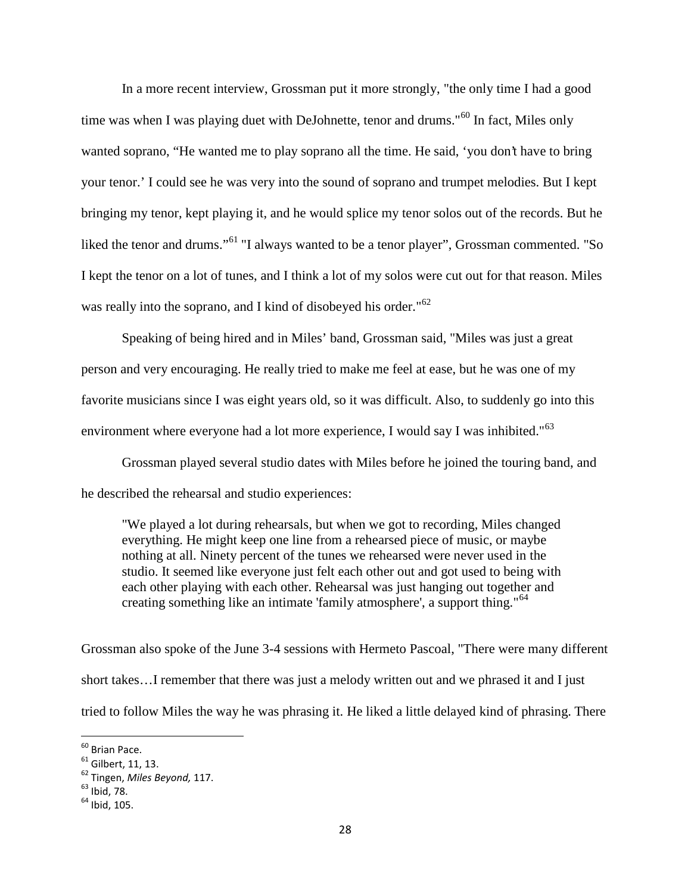In a more recent interview, Grossman put it more strongly, "the only time I had a good time was when I was playing duet with DeJohnette, tenor and drums."<sup>60</sup> In fact, Miles only wanted soprano, "He wanted me to play soprano all the time. He said, 'you don't have to bring your tenor.' I could see he was very into the sound of soprano and trumpet melodies. But I kept bringing my tenor, kept playing it, and he would splice my tenor solos out of the records. But he liked the tenor and drums."<sup>61</sup> "I always wanted to be a tenor player", Grossman commented. "So I kept the tenor on a lot of tunes, and I think a lot of my solos were cut out for that reason. Miles was really into the soprano, and I kind of disobeyed his order."<sup>62</sup>

Speaking of being hired and in Miles' band, Grossman said, "Miles was just a great person and very encouraging. He really tried to make me feel at ease, but he was one of my favorite musicians since I was eight years old, so it was difficult. Also, to suddenly go into this environment where everyone had a lot more experience, I would say I was inhibited."<sup>63</sup>

Grossman played several studio dates with Miles before he joined the touring band, and he described the rehearsal and studio experiences:

"We played a lot during rehearsals, but when we got to recording, Miles changed everything. He might keep one line from a rehearsed piece of music, or maybe nothing at all. Ninety percent of the tunes we rehearsed were never used in the studio. It seemed like everyone just felt each other out and got used to being with each other playing with each other. Rehearsal was just hanging out together and creating something like an intimate 'family atmosphere', a support thing."<sup>64</sup>

Grossman also spoke of the June 3-4 sessions with Hermeto Pascoal, "There were many different short takes…I remember that there was just a melody written out and we phrased it and I just tried to follow Miles the way he was phrasing it. He liked a little delayed kind of phrasing. There

<sup>60</sup> Brian Pace.

<sup>61</sup> Gilbert, 11, 13.

<sup>62</sup> Tingen, *Miles Beyond,* 117.

 $63$  Ibid, 78.

 $64$  Ibid, 105.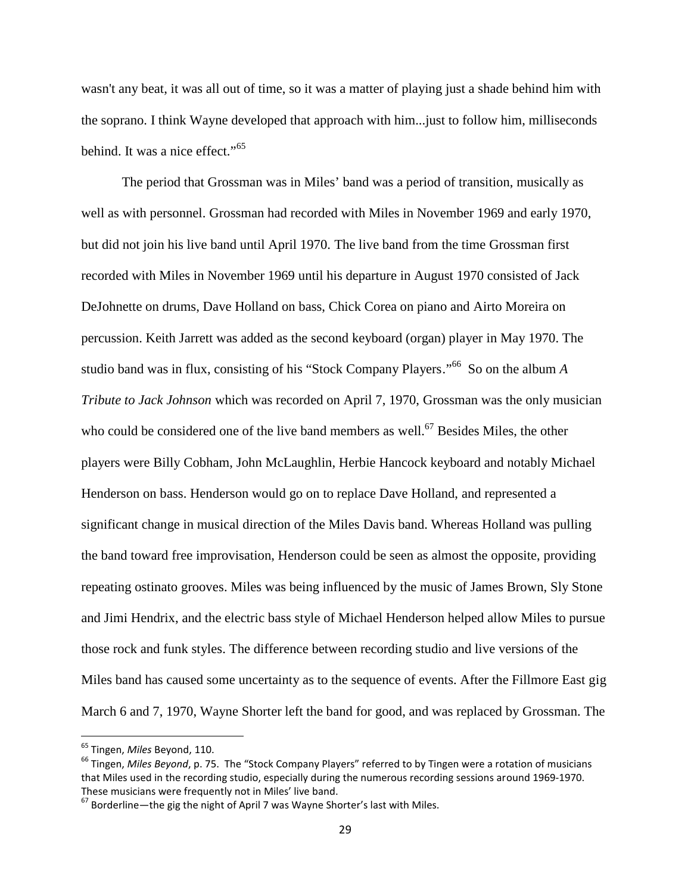wasn't any beat, it was all out of time, so it was a matter of playing just a shade behind him with the soprano. I think Wayne developed that approach with him...just to follow him, milliseconds behind. It was a nice effect."<sup>65</sup>

The period that Grossman was in Miles' band was a period of transition, musically as well as with personnel. Grossman had recorded with Miles in November 1969 and early 1970, but did not join his live band until April 1970. The live band from the time Grossman first recorded with Miles in November 1969 until his departure in August 1970 consisted of Jack DeJohnette on drums, Dave Holland on bass, Chick Corea on piano and Airto Moreira on percussion. Keith Jarrett was added as the second keyboard (organ) player in May 1970. The studio band was in flux, consisting of his "Stock Company Players." <sup>66</sup> So on the album *A Tribute to Jack Johnson* which was recorded on April 7, 1970, Grossman was the only musician who could be considered one of the live band members as well.<sup>67</sup> Besides Miles, the other players were Billy Cobham, John McLaughlin, Herbie Hancock keyboard and notably Michael Henderson on bass. Henderson would go on to replace Dave Holland, and represented a significant change in musical direction of the Miles Davis band. Whereas Holland was pulling the band toward free improvisation, Henderson could be seen as almost the opposite, providing repeating ostinato grooves. Miles was being influenced by the music of James Brown, Sly Stone and Jimi Hendrix, and the electric bass style of Michael Henderson helped allow Miles to pursue those rock and funk styles. The difference between recording studio and live versions of the Miles band has caused some uncertainty as to the sequence of events. After the Fillmore East gig March 6 and 7, 1970, Wayne Shorter left the band for good, and was replaced by Grossman. The

<sup>65</sup> Tingen, *Miles* Beyond, 110.

<sup>66</sup> Tingen, *Miles Beyond*, p. 75. The "Stock Company Players" referred to by Tingen were a rotation of musicians that Miles used in the recording studio, especially during the numerous recording sessions around 1969-1970. These musicians were frequently not in Miles' live band.

 $67$  Borderline—the gig the night of April 7 was Wayne Shorter's last with Miles.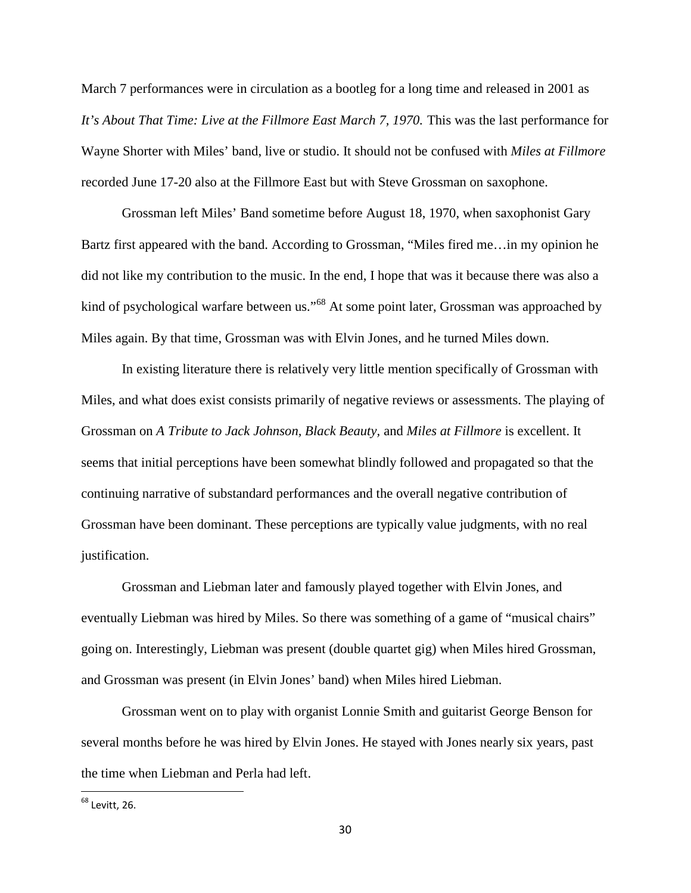March 7 performances were in circulation as a bootleg for a long time and released in 2001 as *It's About That Time: Live at the Fillmore East March 7, 1970.* This was the last performance for Wayne Shorter with Miles' band, live or studio. It should not be confused with *Miles at Fillmore* recorded June 17-20 also at the Fillmore East but with Steve Grossman on saxophone.

Grossman left Miles' Band sometime before August 18, 1970, when saxophonist Gary Bartz first appeared with the band. According to Grossman, "Miles fired me…in my opinion he did not like my contribution to the music. In the end, I hope that was it because there was also a kind of psychological warfare between us."<sup>68</sup> At some point later, Grossman was approached by Miles again. By that time, Grossman was with Elvin Jones, and he turned Miles down.

In existing literature there is relatively very little mention specifically of Grossman with Miles, and what does exist consists primarily of negative reviews or assessments. The playing of Grossman on *A Tribute to Jack Johnson, Black Beauty,* and *Miles at Fillmore* is excellent. It seems that initial perceptions have been somewhat blindly followed and propagated so that the continuing narrative of substandard performances and the overall negative contribution of Grossman have been dominant. These perceptions are typically value judgments, with no real justification.

Grossman and Liebman later and famously played together with Elvin Jones, and eventually Liebman was hired by Miles. So there was something of a game of "musical chairs" going on. Interestingly, Liebman was present (double quartet gig) when Miles hired Grossman, and Grossman was present (in Elvin Jones' band) when Miles hired Liebman.

Grossman went on to play with organist Lonnie Smith and guitarist George Benson for several months before he was hired by Elvin Jones. He stayed with Jones nearly six years, past the time when Liebman and Perla had left.

 $68$  Levitt, 26.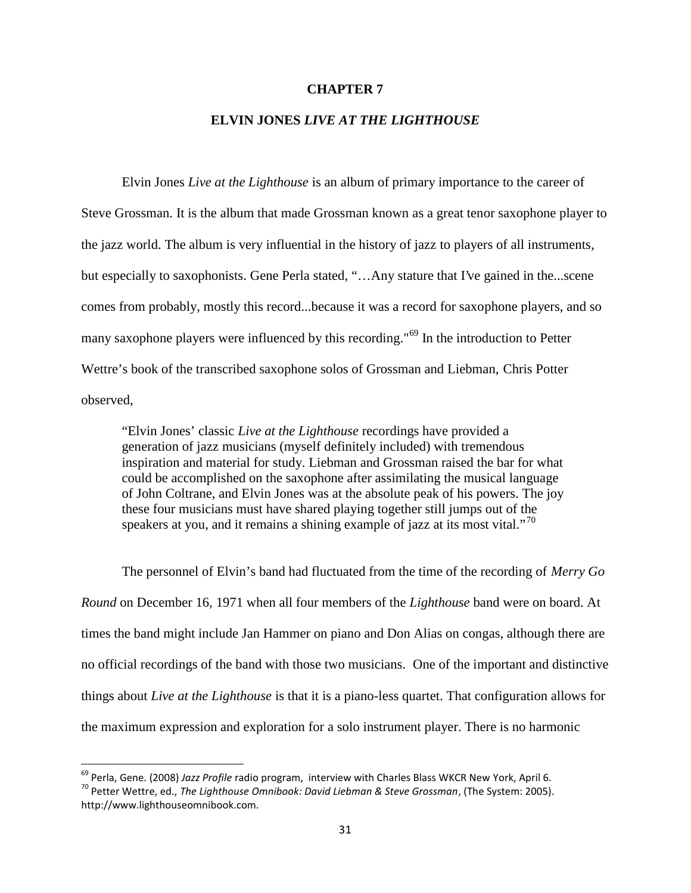#### **CHAPTER 7**

## **ELVIN JONES** *LIVE AT THE LIGHTHOUSE*

Elvin Jones *Live at the Lighthouse* is an album of primary importance to the career of Steve Grossman. It is the album that made Grossman known as a great tenor saxophone player to the jazz world. The album is very influential in the history of jazz to players of all instruments, but especially to saxophonists. Gene Perla stated, "…Any stature that I've gained in the...scene comes from probably, mostly this record...because it was a record for saxophone players, and so many saxophone players were influenced by this recording."<sup>69</sup> In the introduction to Petter Wettre's book of the transcribed saxophone solos of Grossman and Liebman, Chris Potter observed,

"Elvin Jones' classic *Live at the Lighthouse* recordings have provided a generation of jazz musicians (myself definitely included) with tremendous inspiration and material for study. Liebman and Grossman raised the bar for what could be accomplished on the saxophone after assimilating the musical language of John Coltrane, and Elvin Jones was at the absolute peak of his powers. The joy these four musicians must have shared playing together still jumps out of the speakers at you, and it remains a shining example of jazz at its most vital."<sup>70</sup>

The personnel of Elvin's band had fluctuated from the time of the recording of *Merry Go Round* on December 16, 1971 when all four members of the *Lighthouse* band were on board. At times the band might include Jan Hammer on piano and Don Alias on congas, although there are no official recordings of the band with those two musicians. One of the important and distinctive things about *Live at the Lighthouse* is that it is a piano-less quartet. That configuration allows for the maximum expression and exploration for a solo instrument player. There is no harmonic

<sup>69</sup> Perla, Gene. (2008) *Jazz Profile* radio program, interview with Charles Blass WKCR New York, April 6.

<sup>70</sup> Petter Wettre, ed., *The Lighthouse Omnibook: David Liebman & Steve Grossman*, (The System: 2005). http://www.lighthouseomnibook.com.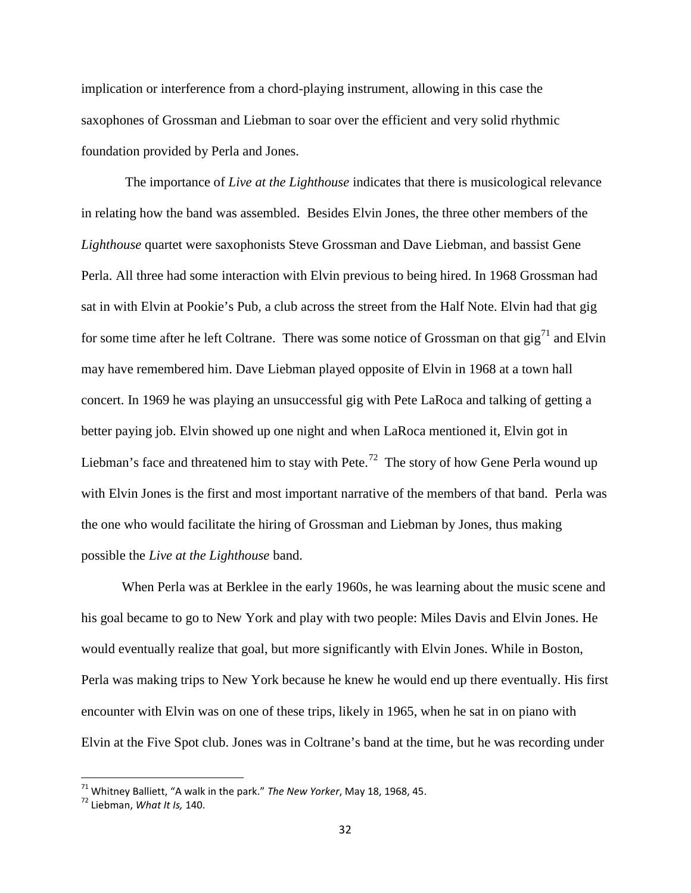implication or interference from a chord-playing instrument, allowing in this case the saxophones of Grossman and Liebman to soar over the efficient and very solid rhythmic foundation provided by Perla and Jones.

The importance of *Live at the Lighthouse* indicates that there is musicological relevance in relating how the band was assembled. Besides Elvin Jones, the three other members of the *Lighthouse* quartet were saxophonists Steve Grossman and Dave Liebman, and bassist Gene Perla. All three had some interaction with Elvin previous to being hired. In 1968 Grossman had sat in with Elvin at Pookie's Pub, a club across the street from the Half Note. Elvin had that gig for some time after he left Coltrane. There was some notice of Grossman on that  $\text{gig}^{71}$  and Elvin may have remembered him. Dave Liebman played opposite of Elvin in 1968 at a town hall concert. In 1969 he was playing an unsuccessful gig with Pete LaRoca and talking of getting a better paying job. Elvin showed up one night and when LaRoca mentioned it, Elvin got in Liebman's face and threatened him to stay with Pete.<sup>72</sup> The story of how Gene Perla wound up with Elvin Jones is the first and most important narrative of the members of that band. Perla was the one who would facilitate the hiring of Grossman and Liebman by Jones, thus making possible the *Live at the Lighthouse* band.

When Perla was at Berklee in the early 1960s, he was learning about the music scene and his goal became to go to New York and play with two people: Miles Davis and Elvin Jones. He would eventually realize that goal, but more significantly with Elvin Jones. While in Boston, Perla was making trips to New York because he knew he would end up there eventually. His first encounter with Elvin was on one of these trips, likely in 1965, when he sat in on piano with Elvin at the Five Spot club. Jones was in Coltrane's band at the time, but he was recording under

<sup>71</sup> Whitney Balliett, "A walk in the park." *The New Yorker*, May 18, 1968, 45.

<sup>72</sup> Liebman, *What It Is,* 140.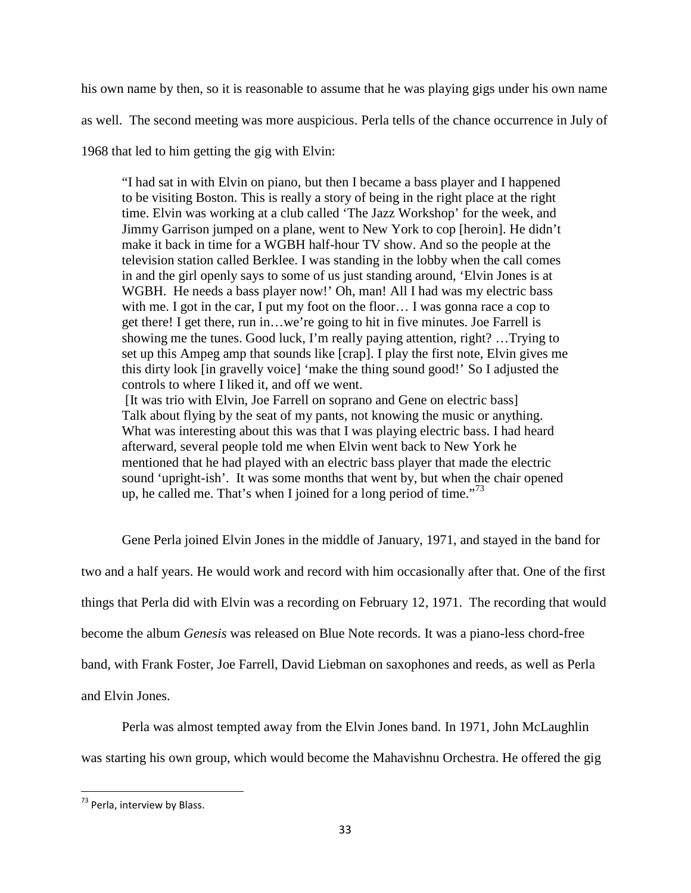his own name by then, so it is reasonable to assume that he was playing gigs under his own name

as well. The second meeting was more auspicious. Perla tells of the chance occurrence in July of

1968 that led to him getting the gig with Elvin:

"I had sat in with Elvin on piano, but then I became a bass player and I happened to be visiting Boston. This is really a story of being in the right place at the right time. Elvin was working at a club called 'The Jazz Workshop' for the week, and Jimmy Garrison jumped on a plane, went to New York to cop [heroin]. He didn't make it back in time for a WGBH half-hour TV show. And so the people at the television station called Berklee. I was standing in the lobby when the call comes in and the girl openly says to some of us just standing around, 'Elvin Jones is at WGBH. He needs a bass player now!' Oh, man! All I had was my electric bass with me. I got in the car, I put my foot on the floor... I was gonna race a cop to get there! I get there, run in…we're going to hit in five minutes. Joe Farrell is showing me the tunes. Good luck, I'm really paying attention, right? …Trying to set up this Ampeg amp that sounds like [crap]. I play the first note, Elvin gives me this dirty look [in gravelly voice] 'make the thing sound good!' So I adjusted the controls to where I liked it, and off we went.

[It was trio with Elvin, Joe Farrell on soprano and Gene on electric bass] Talk about flying by the seat of my pants, not knowing the music or anything. What was interesting about this was that I was playing electric bass. I had heard afterward, several people told me when Elvin went back to New York he mentioned that he had played with an electric bass player that made the electric sound 'upright-ish'. It was some months that went by, but when the chair opened up, he called me. That's when I joined for a long period of time.<sup>73</sup>

Gene Perla joined Elvin Jones in the middle of January, 1971, and stayed in the band for

two and a half years. He would work and record with him occasionally after that. One of the first

things that Perla did with Elvin was a recording on February 12, 1971. The recording that would

become the album *Genesis* was released on Blue Note records. It was a piano-less chord-free

band, with Frank Foster, Joe Farrell, David Liebman on saxophones and reeds, as well as Perla

and Elvin Jones.

Perla was almost tempted away from the Elvin Jones band. In 1971, John McLaughlin was starting his own group, which would become the Mahavishnu Orchestra. He offered the gig

<sup>73</sup> Perla, interview by Blass.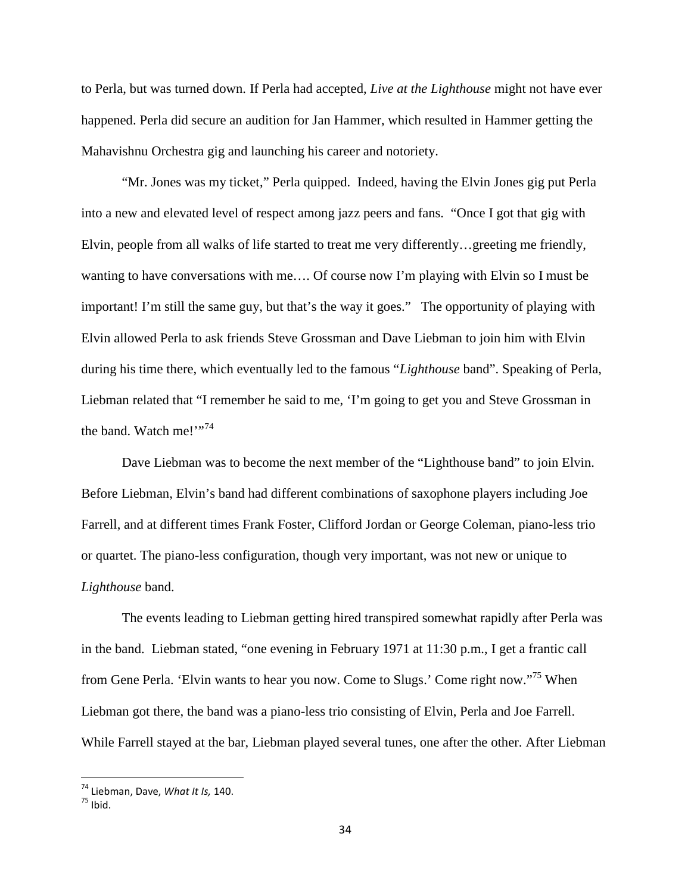to Perla, but was turned down. If Perla had accepted, *Live at the Lighthouse* might not have ever happened. Perla did secure an audition for Jan Hammer, which resulted in Hammer getting the Mahavishnu Orchestra gig and launching his career and notoriety.

"Mr. Jones was my ticket," Perla quipped. Indeed, having the Elvin Jones gig put Perla into a new and elevated level of respect among jazz peers and fans. "Once I got that gig with Elvin, people from all walks of life started to treat me very differently…greeting me friendly, wanting to have conversations with me…. Of course now I'm playing with Elvin so I must be important! I'm still the same guy, but that's the way it goes." The opportunity of playing with Elvin allowed Perla to ask friends Steve Grossman and Dave Liebman to join him with Elvin during his time there, which eventually led to the famous "*Lighthouse* band". Speaking of Perla, Liebman related that "I remember he said to me, 'I'm going to get you and Steve Grossman in the band. Watch me!"<sup>74</sup>

Dave Liebman was to become the next member of the "Lighthouse band" to join Elvin. Before Liebman, Elvin's band had different combinations of saxophone players including Joe Farrell, and at different times Frank Foster, Clifford Jordan or George Coleman, piano-less trio or quartet. The piano-less configuration, though very important, was not new or unique to *Lighthouse* band.

The events leading to Liebman getting hired transpired somewhat rapidly after Perla was in the band. Liebman stated, "one evening in February 1971 at 11:30 p.m., I get a frantic call from Gene Perla. 'Elvin wants to hear you now. Come to Slugs.' Come right now."<sup>75</sup> When Liebman got there, the band was a piano-less trio consisting of Elvin, Perla and Joe Farrell. While Farrell stayed at the bar, Liebman played several tunes, one after the other. After Liebman

<sup>74</sup> Liebman, Dave, *What It Is,* 140.

 $75$  Ibid.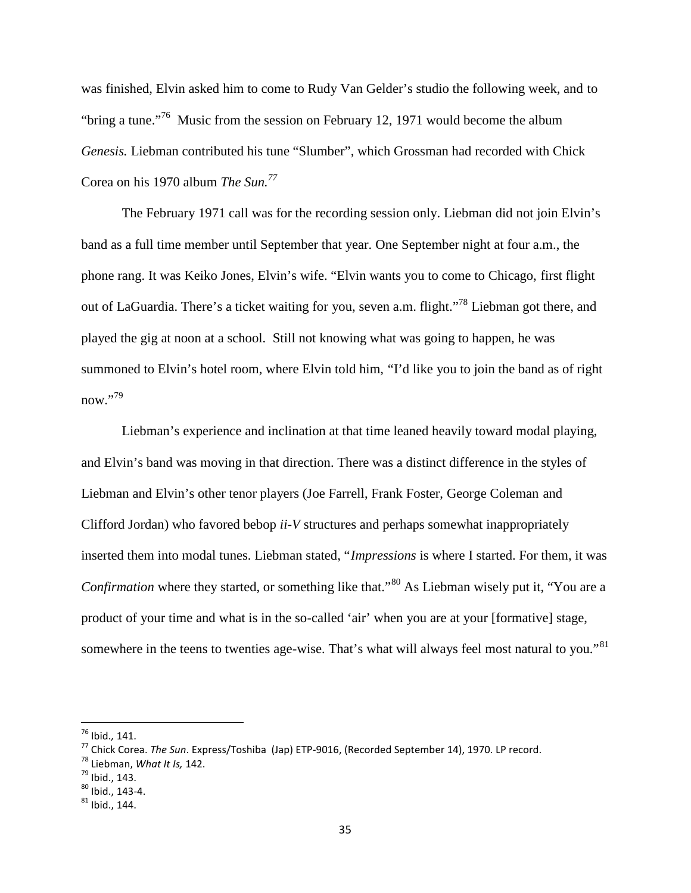was finished, Elvin asked him to come to Rudy Van Gelder's studio the following week, and to "bring a tune."<sup>76</sup> Music from the session on February 12, 1971 would become the album *Genesis.* Liebman contributed his tune "Slumber", which Grossman had recorded with Chick Corea on his 1970 album *The Sun.<sup>77</sup>*

The February 1971 call was for the recording session only. Liebman did not join Elvin's band as a full time member until September that year. One September night at four a.m., the phone rang. It was Keiko Jones, Elvin's wife. "Elvin wants you to come to Chicago, first flight out of LaGuardia. There's a ticket waiting for you, seven a.m. flight."<sup>78</sup> Liebman got there, and played the gig at noon at a school. Still not knowing what was going to happen, he was summoned to Elvin's hotel room, where Elvin told him, "I'd like you to join the band as of right now."79

Liebman's experience and inclination at that time leaned heavily toward modal playing, and Elvin's band was moving in that direction. There was a distinct difference in the styles of Liebman and Elvin's other tenor players (Joe Farrell, Frank Foster, George Coleman and Clifford Jordan) who favored bebop *ii-V* structures and perhaps somewhat inappropriately inserted them into modal tunes. Liebman stated, "*Impressions* is where I started. For them, it was *Confirmation* where they started, or something like that."<sup>80</sup> As Liebman wisely put it, "You are a product of your time and what is in the so-called 'air' when you are at your [formative] stage, somewhere in the teens to twenties age-wise. That's what will always feel most natural to you."<sup>81</sup>

<sup>76</sup> Ibid.*,* 141.

<sup>77</sup> Chick Corea. *The Sun*. Express/Toshiba (Jap) ETP-9016, (Recorded September 14), 1970. LP record.

<sup>78</sup> Liebman, *What It Is,* 142.

 $^{79}$  Ibid., 143.

 $80$  Ibid., 143-4.

 $81$  Ibid., 144.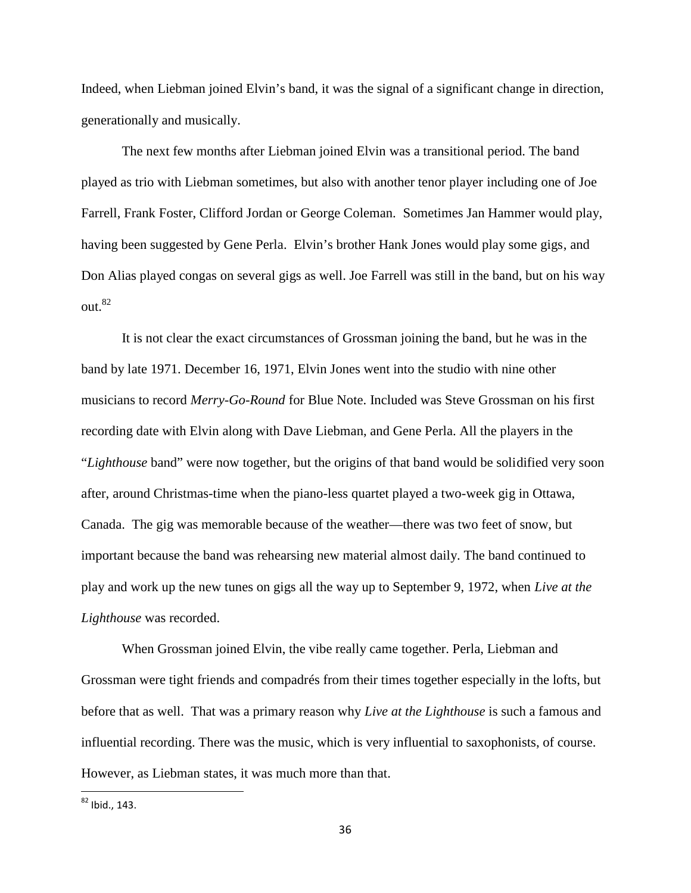Indeed, when Liebman joined Elvin's band, it was the signal of a significant change in direction, generationally and musically.

The next few months after Liebman joined Elvin was a transitional period. The band played as trio with Liebman sometimes, but also with another tenor player including one of Joe Farrell, Frank Foster, Clifford Jordan or George Coleman. Sometimes Jan Hammer would play, having been suggested by Gene Perla. Elvin's brother Hank Jones would play some gigs, and Don Alias played congas on several gigs as well. Joe Farrell was still in the band, but on his way out.<sup>82</sup>

It is not clear the exact circumstances of Grossman joining the band, but he was in the band by late 1971. December 16, 1971, Elvin Jones went into the studio with nine other musicians to record *Merry-Go-Round* for Blue Note. Included was Steve Grossman on his first recording date with Elvin along with Dave Liebman, and Gene Perla. All the players in the "*Lighthouse* band" were now together, but the origins of that band would be solidified very soon after, around Christmas-time when the piano-less quartet played a two-week gig in Ottawa, Canada. The gig was memorable because of the weather—there was two feet of snow, but important because the band was rehearsing new material almost daily. The band continued to play and work up the new tunes on gigs all the way up to September 9, 1972, when *Live at the Lighthouse* was recorded.

When Grossman joined Elvin, the vibe really came together. Perla, Liebman and Grossman were tight friends and compadrés from their times together especially in the lofts, but before that as well. That was a primary reason why *Live at the Lighthouse* is such a famous and influential recording. There was the music, which is very influential to saxophonists, of course. However, as Liebman states, it was much more than that.

 $82$  Ibid., 143.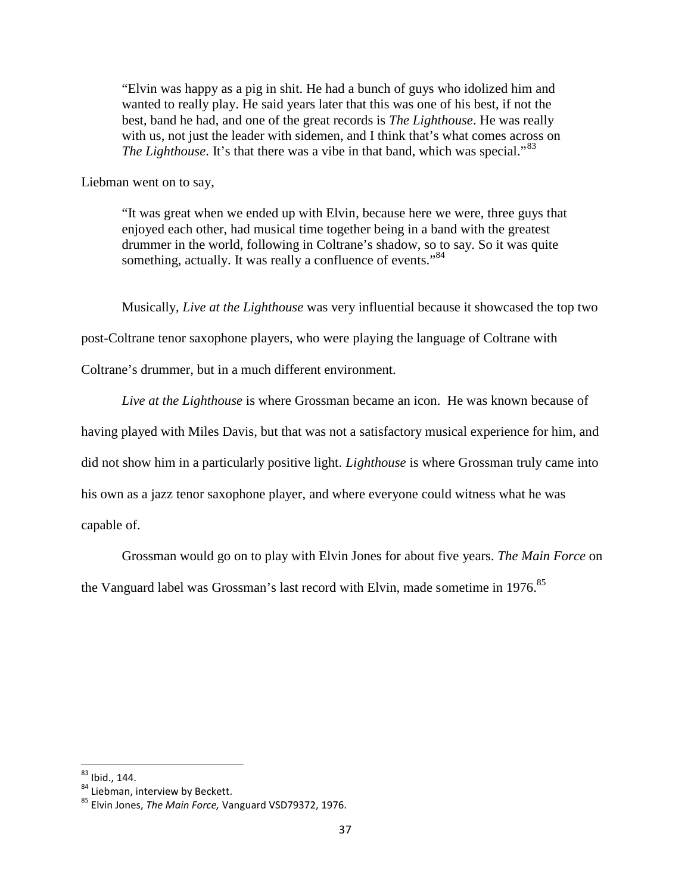"Elvin was happy as a pig in shit. He had a bunch of guys who idolized him and wanted to really play. He said years later that this was one of his best, if not the best, band he had, and one of the great records is *The Lighthouse*. He was really with us, not just the leader with sidemen, and I think that's what comes across on *The Lighthouse*. It's that there was a vibe in that band, which was special."<sup>83</sup>

Liebman went on to say,

"It was great when we ended up with Elvin, because here we were, three guys that enjoyed each other, had musical time together being in a band with the greatest drummer in the world, following in Coltrane's shadow, so to say. So it was quite something, actually. It was really a confluence of events."<sup>84</sup>

Musically, *Live at the Lighthouse* was very influential because it showcased the top two

post-Coltrane tenor saxophone players, who were playing the language of Coltrane with

Coltrane's drummer, but in a much different environment.

*Live at the Lighthouse* is where Grossman became an icon. He was known because of having played with Miles Davis, but that was not a satisfactory musical experience for him, and did not show him in a particularly positive light. *Lighthouse* is where Grossman truly came into his own as a jazz tenor saxophone player, and where everyone could witness what he was

capable of.

Grossman would go on to play with Elvin Jones for about five years. *The Main Force* on the Vanguard label was Grossman's last record with Elvin, made sometime in 1976.<sup>85</sup>

<sup>83</sup> Ibid., 144.

<sup>84</sup> Liebman, interview by Beckett.

<sup>85</sup> Elvin Jones, *The Main Force,* Vanguard VSD79372, 1976.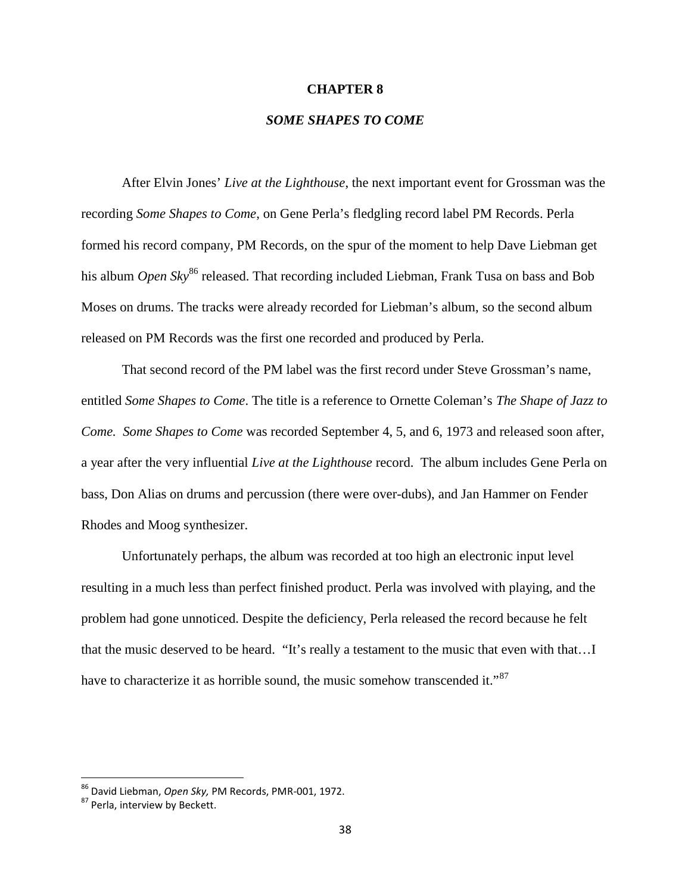#### **CHAPTER 8**

## *SOME SHAPES TO COME*

After Elvin Jones' *Live at the Lighthouse*, the next important event for Grossman was the recording *Some Shapes to Come*, on Gene Perla's fledgling record label PM Records. Perla formed his record company, PM Records, on the spur of the moment to help Dave Liebman get his album *Open Sky*<sup>86</sup> released. That recording included Liebman, Frank Tusa on bass and Bob Moses on drums. The tracks were already recorded for Liebman's album, so the second album released on PM Records was the first one recorded and produced by Perla.

That second record of the PM label was the first record under Steve Grossman's name, entitled *Some Shapes to Come*. The title is a reference to Ornette Coleman's *The Shape of Jazz to Come. Some Shapes to Come* was recorded September 4, 5, and 6, 1973 and released soon after, a year after the very influential *Live at the Lighthouse* record. The album includes Gene Perla on bass, Don Alias on drums and percussion (there were over-dubs), and Jan Hammer on Fender Rhodes and Moog synthesizer.

Unfortunately perhaps, the album was recorded at too high an electronic input level resulting in a much less than perfect finished product. Perla was involved with playing, and the problem had gone unnoticed. Despite the deficiency, Perla released the record because he felt that the music deserved to be heard. "It's really a testament to the music that even with that…I have to characterize it as horrible sound, the music somehow transcended it."<sup>87</sup>

<sup>86</sup> David Liebman, *Open Sky,* PM Records, PMR-001, 1972.

<sup>87</sup> Perla. interview by Beckett.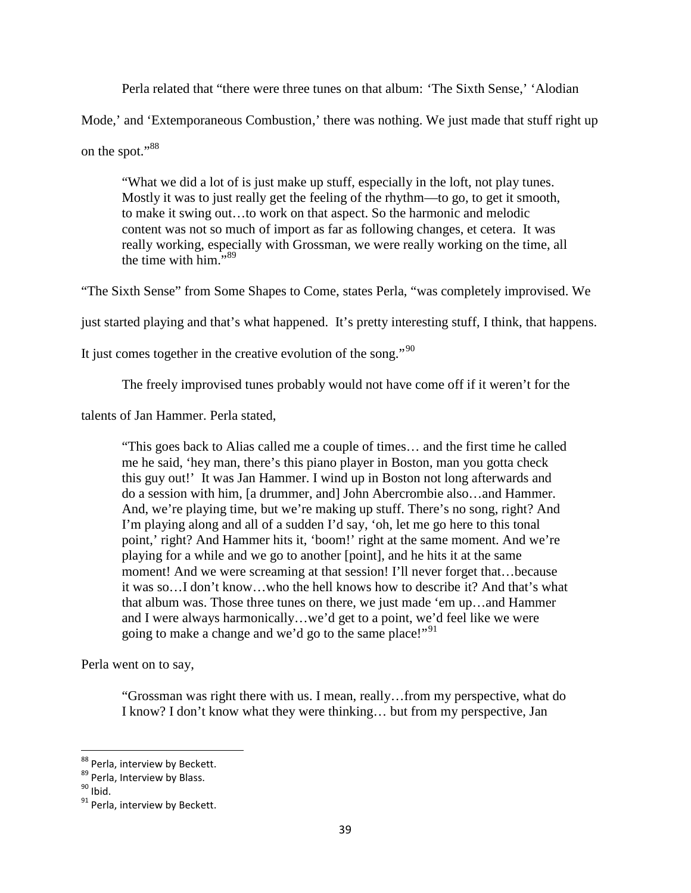Perla related that "there were three tunes on that album: 'The Sixth Sense,' 'Alodian

Mode,' and 'Extemporaneous Combustion,' there was nothing. We just made that stuff right up

on the spot."<sup>88</sup>

"What we did a lot of is just make up stuff, especially in the loft, not play tunes. Mostly it was to just really get the feeling of the rhythm—to go, to get it smooth, to make it swing out…to work on that aspect. So the harmonic and melodic content was not so much of import as far as following changes, et cetera. It was really working, especially with Grossman, we were really working on the time, all the time with him." $89$ 

"The Sixth Sense" from Some Shapes to Come, states Perla, "was completely improvised. We

just started playing and that's what happened. It's pretty interesting stuff, I think, that happens.

It just comes together in the creative evolution of the song."<sup>90</sup>

The freely improvised tunes probably would not have come off if it weren't for the

talents of Jan Hammer. Perla stated,

"This goes back to Alias called me a couple of times… and the first time he called me he said, 'hey man, there's this piano player in Boston, man you gotta check this guy out!' It was Jan Hammer. I wind up in Boston not long afterwards and do a session with him, [a drummer, and] John Abercrombie also…and Hammer. And, we're playing time, but we're making up stuff. There's no song, right? And I'm playing along and all of a sudden I'd say, 'oh, let me go here to this tonal point,' right? And Hammer hits it, 'boom!' right at the same moment. And we're playing for a while and we go to another [point], and he hits it at the same moment! And we were screaming at that session! I'll never forget that...because it was so…I don't know…who the hell knows how to describe it? And that's what that album was. Those three tunes on there, we just made 'em up…and Hammer and I were always harmonically…we'd get to a point, we'd feel like we were going to make a change and we'd go to the same place!"<sup>91</sup>

Perla went on to say,

"Grossman was right there with us. I mean, really…from my perspective, what do I know? I don't know what they were thinking… but from my perspective, Jan

<sup>88</sup> Perla, interview by Beckett.

<sup>89</sup> Perla, Interview by Blass.

 $90$  Ibid.

<sup>&</sup>lt;sup>91</sup> Perla, interview by Beckett.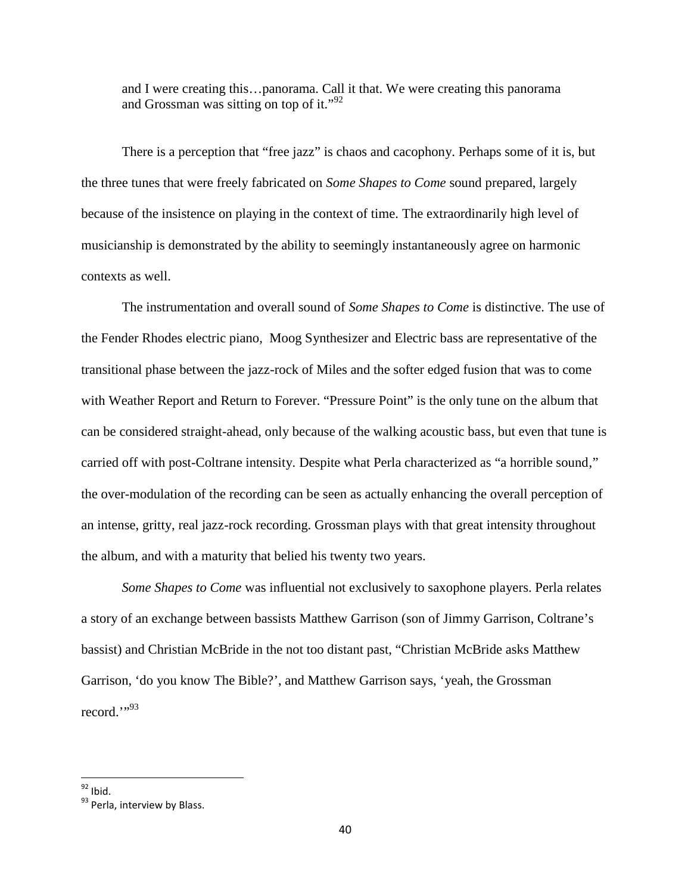and I were creating this…panorama. Call it that. We were creating this panorama and Grossman was sitting on top of it."<sup>92</sup>

There is a perception that "free jazz" is chaos and cacophony. Perhaps some of it is, but the three tunes that were freely fabricated on *Some Shapes to Come* sound prepared, largely because of the insistence on playing in the context of time. The extraordinarily high level of musicianship is demonstrated by the ability to seemingly instantaneously agree on harmonic contexts as well.

The instrumentation and overall sound of *Some Shapes to Come* is distinctive. The use of the Fender Rhodes electric piano, Moog Synthesizer and Electric bass are representative of the transitional phase between the jazz-rock of Miles and the softer edged fusion that was to come with Weather Report and Return to Forever. "Pressure Point" is the only tune on the album that can be considered straight-ahead, only because of the walking acoustic bass, but even that tune is carried off with post-Coltrane intensity. Despite what Perla characterized as "a horrible sound," the over-modulation of the recording can be seen as actually enhancing the overall perception of an intense, gritty, real jazz-rock recording. Grossman plays with that great intensity throughout the album, and with a maturity that belied his twenty two years.

*Some Shapes to Come* was influential not exclusively to saxophone players. Perla relates a story of an exchange between bassists Matthew Garrison (son of Jimmy Garrison, Coltrane's bassist) and Christian McBride in the not too distant past, "Christian McBride asks Matthew Garrison, 'do you know The Bible?', and Matthew Garrison says, 'yeah, the Grossman record."<sup>93</sup>

 $92$  Ibid.

<sup>93</sup> Perla. interview by Blass.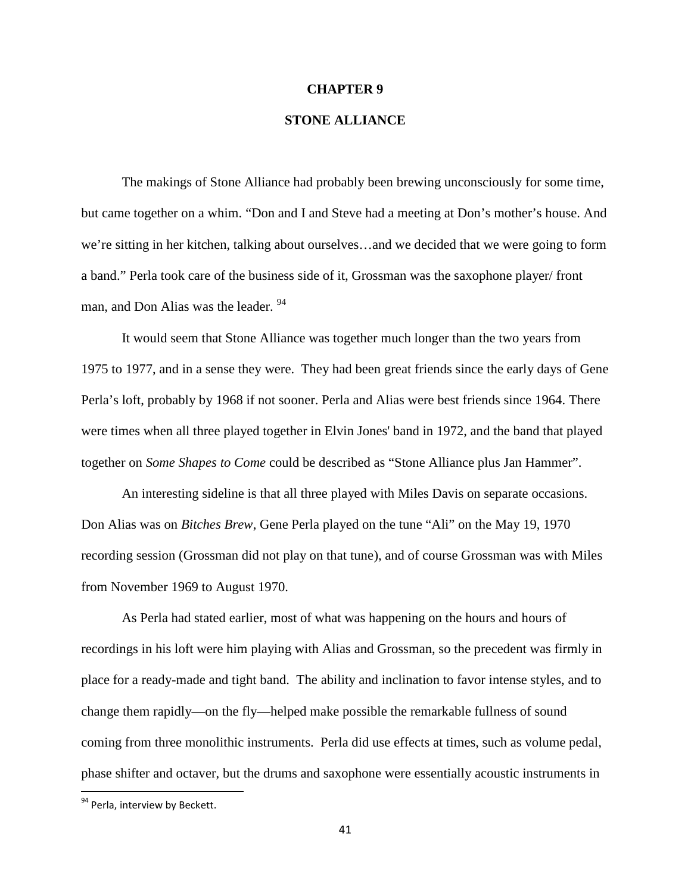#### **CHAPTER 9**

## **STONE ALLIANCE**

The makings of Stone Alliance had probably been brewing unconsciously for some time, but came together on a whim. "Don and I and Steve had a meeting at Don's mother's house. And we're sitting in her kitchen, talking about ourselves…and we decided that we were going to form a band." Perla took care of the business side of it, Grossman was the saxophone player/ front man, and Don Alias was the leader. <sup>94</sup>

It would seem that Stone Alliance was together much longer than the two years from 1975 to 1977, and in a sense they were. They had been great friends since the early days of Gene Perla's loft, probably by 1968 if not sooner. Perla and Alias were best friends since 1964. There were times when all three played together in Elvin Jones' band in 1972, and the band that played together on *Some Shapes to Come* could be described as "Stone Alliance plus Jan Hammer".

An interesting sideline is that all three played with Miles Davis on separate occasions. Don Alias was on *Bitches Brew*, Gene Perla played on the tune "Ali" on the May 19, 1970 recording session (Grossman did not play on that tune), and of course Grossman was with Miles from November 1969 to August 1970.

As Perla had stated earlier, most of what was happening on the hours and hours of recordings in his loft were him playing with Alias and Grossman, so the precedent was firmly in place for a ready-made and tight band. The ability and inclination to favor intense styles, and to change them rapidly—on the fly—helped make possible the remarkable fullness of sound coming from three monolithic instruments. Perla did use effects at times, such as volume pedal, phase shifter and octaver, but the drums and saxophone were essentially acoustic instruments in

<sup>&</sup>lt;sup>94</sup> Perla, interview by Beckett.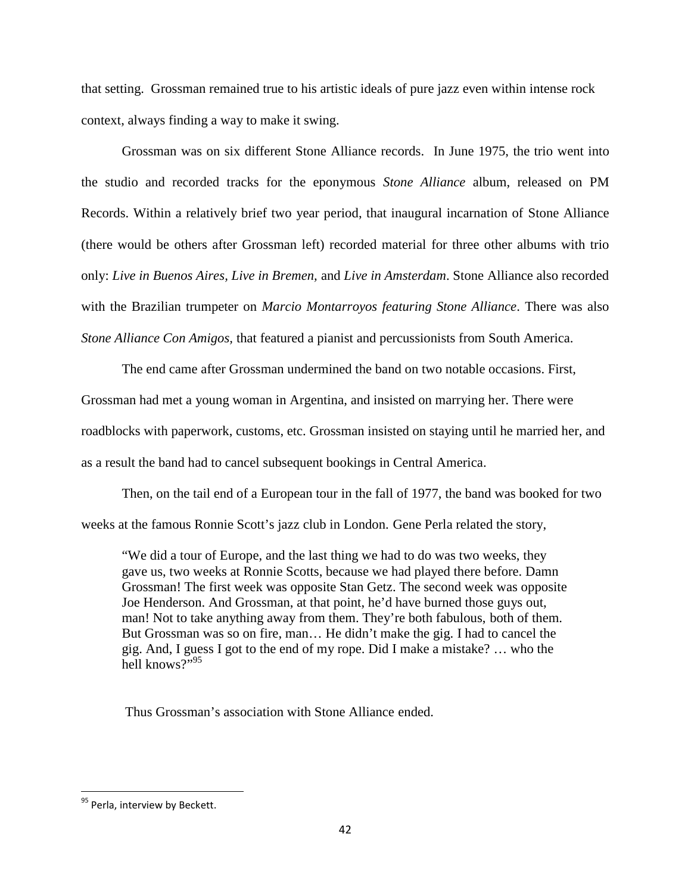that setting. Grossman remained true to his artistic ideals of pure jazz even within intense rock context, always finding a way to make it swing.

Grossman was on six different Stone Alliance records. In June 1975, the trio went into the studio and recorded tracks for the eponymous *Stone Alliance* album, released on PM Records. Within a relatively brief two year period, that inaugural incarnation of Stone Alliance (there would be others after Grossman left) recorded material for three other albums with trio only: *Live in Buenos Aires, Live in Bremen,* and *Live in Amsterdam*. Stone Alliance also recorded with the Brazilian trumpeter on *Marcio Montarroyos featuring Stone Alliance*. There was also *Stone Alliance Con Amigos,* that featured a pianist and percussionists from South America.

The end came after Grossman undermined the band on two notable occasions. First, Grossman had met a young woman in Argentina, and insisted on marrying her. There were roadblocks with paperwork, customs, etc. Grossman insisted on staying until he married her, and as a result the band had to cancel subsequent bookings in Central America.

Then, on the tail end of a European tour in the fall of 1977, the band was booked for two weeks at the famous Ronnie Scott's jazz club in London. Gene Perla related the story,

"We did a tour of Europe, and the last thing we had to do was two weeks, they gave us, two weeks at Ronnie Scotts, because we had played there before. Damn Grossman! The first week was opposite Stan Getz. The second week was opposite Joe Henderson. And Grossman, at that point, he'd have burned those guys out, man! Not to take anything away from them. They're both fabulous, both of them. But Grossman was so on fire, man… He didn't make the gig. I had to cancel the gig. And, I guess I got to the end of my rope. Did I make a mistake? … who the hell knows?"95

Thus Grossman's association with Stone Alliance ended.

<sup>95</sup> Perla, interview by Beckett.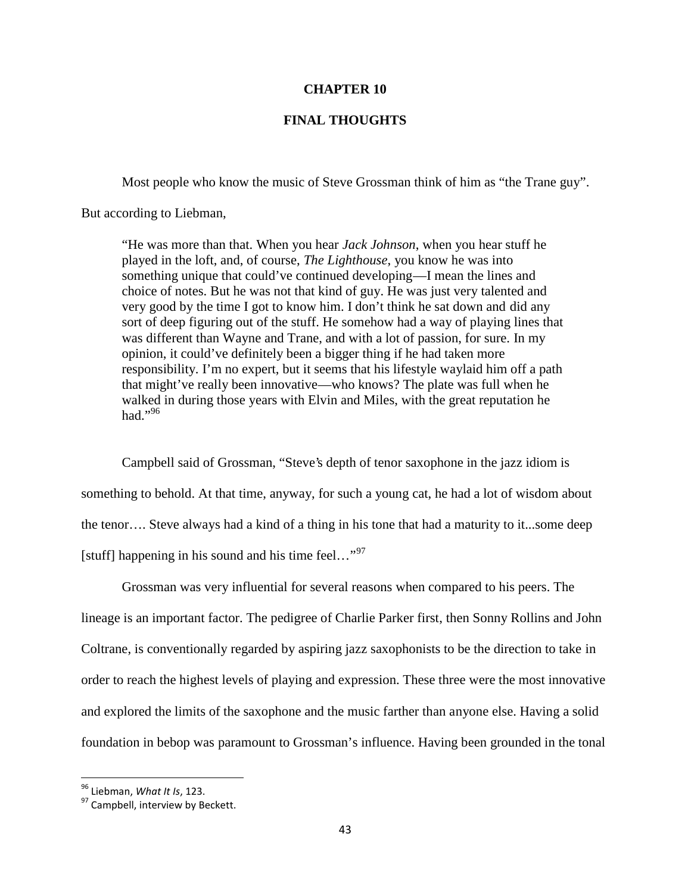### **CHAPTER 10**

### **FINAL THOUGHTS**

Most people who know the music of Steve Grossman think of him as "the Trane guy".

But according to Liebman,

"He was more than that. When you hear *Jack Johnson*, when you hear stuff he played in the loft, and, of course, *The Lighthouse*, you know he was into something unique that could've continued developing—I mean the lines and choice of notes. But he was not that kind of guy. He was just very talented and very good by the time I got to know him. I don't think he sat down and did any sort of deep figuring out of the stuff. He somehow had a way of playing lines that was different than Wayne and Trane, and with a lot of passion, for sure. In my opinion, it could've definitely been a bigger thing if he had taken more responsibility. I'm no expert, but it seems that his lifestyle waylaid him off a path that might've really been innovative—who knows? The plate was full when he walked in during those years with Elvin and Miles, with the great reputation he had." $96$ 

Campbell said of Grossman, "Steve's depth of tenor saxophone in the jazz idiom is something to behold. At that time, anyway, for such a young cat, he had a lot of wisdom about the tenor…. Steve always had a kind of a thing in his tone that had a maturity to it...some deep [stuff] happening in his sound and his time feel..."<sup>97</sup>

Grossman was very influential for several reasons when compared to his peers. The lineage is an important factor. The pedigree of Charlie Parker first, then Sonny Rollins and John Coltrane, is conventionally regarded by aspiring jazz saxophonists to be the direction to take in order to reach the highest levels of playing and expression. These three were the most innovative and explored the limits of the saxophone and the music farther than anyone else. Having a solid foundation in bebop was paramount to Grossman's influence. Having been grounded in the tonal

<sup>96</sup> Liebman, *What It Is*, 123.

<sup>&</sup>lt;sup>97</sup> Campbell, interview by Beckett.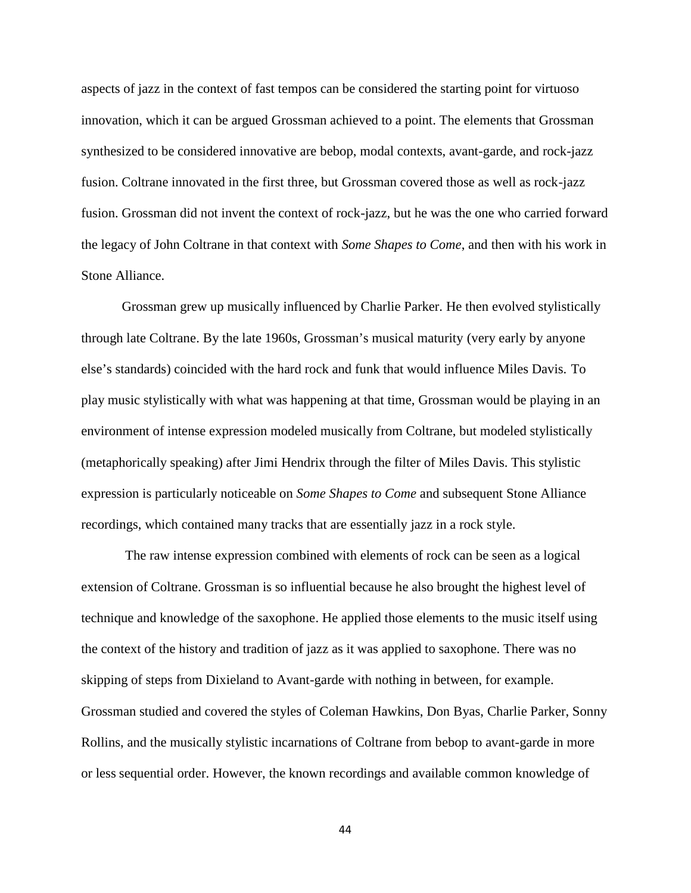aspects of jazz in the context of fast tempos can be considered the starting point for virtuoso innovation, which it can be argued Grossman achieved to a point. The elements that Grossman synthesized to be considered innovative are bebop, modal contexts, avant-garde, and rock-jazz fusion. Coltrane innovated in the first three, but Grossman covered those as well as rock-jazz fusion. Grossman did not invent the context of rock-jazz, but he was the one who carried forward the legacy of John Coltrane in that context with *Some Shapes to Come*, and then with his work in Stone Alliance.

Grossman grew up musically influenced by Charlie Parker. He then evolved stylistically through late Coltrane. By the late 1960s, Grossman's musical maturity (very early by anyone else's standards) coincided with the hard rock and funk that would influence Miles Davis. To play music stylistically with what was happening at that time, Grossman would be playing in an environment of intense expression modeled musically from Coltrane, but modeled stylistically (metaphorically speaking) after Jimi Hendrix through the filter of Miles Davis. This stylistic expression is particularly noticeable on *Some Shapes to Come* and subsequent Stone Alliance recordings, which contained many tracks that are essentially jazz in a rock style.

The raw intense expression combined with elements of rock can be seen as a logical extension of Coltrane. Grossman is so influential because he also brought the highest level of technique and knowledge of the saxophone. He applied those elements to the music itself using the context of the history and tradition of jazz as it was applied to saxophone. There was no skipping of steps from Dixieland to Avant-garde with nothing in between, for example. Grossman studied and covered the styles of Coleman Hawkins, Don Byas, Charlie Parker, Sonny Rollins, and the musically stylistic incarnations of Coltrane from bebop to avant-garde in more or less sequential order. However, the known recordings and available common knowledge of

44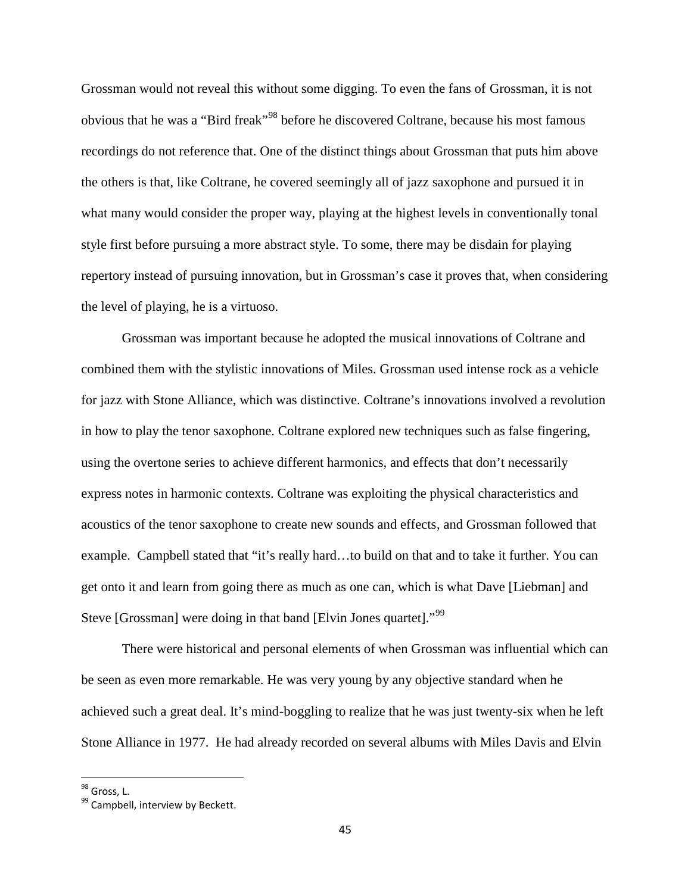Grossman would not reveal this without some digging. To even the fans of Grossman, it is not obvious that he was a "Bird freak"<sup>98</sup> before he discovered Coltrane, because his most famous recordings do not reference that. One of the distinct things about Grossman that puts him above the others is that, like Coltrane, he covered seemingly all of jazz saxophone and pursued it in what many would consider the proper way, playing at the highest levels in conventionally tonal style first before pursuing a more abstract style. To some, there may be disdain for playing repertory instead of pursuing innovation, but in Grossman's case it proves that, when considering the level of playing, he is a virtuoso.

Grossman was important because he adopted the musical innovations of Coltrane and combined them with the stylistic innovations of Miles. Grossman used intense rock as a vehicle for jazz with Stone Alliance, which was distinctive. Coltrane's innovations involved a revolution in how to play the tenor saxophone. Coltrane explored new techniques such as false fingering, using the overtone series to achieve different harmonics, and effects that don't necessarily express notes in harmonic contexts. Coltrane was exploiting the physical characteristics and acoustics of the tenor saxophone to create new sounds and effects, and Grossman followed that example. Campbell stated that "it's really hard…to build on that and to take it further. You can get onto it and learn from going there as much as one can, which is what Dave [Liebman] and Steve [Grossman] were doing in that band [Elvin Jones quartet]."<sup>99</sup>

There were historical and personal elements of when Grossman was influential which can be seen as even more remarkable. He was very young by any objective standard when he achieved such a great deal. It's mind-boggling to realize that he was just twenty-six when he left Stone Alliance in 1977. He had already recorded on several albums with Miles Davis and Elvin

<sup>98</sup> Gross, L.

<sup>99</sup> Campbell, interview by Beckett.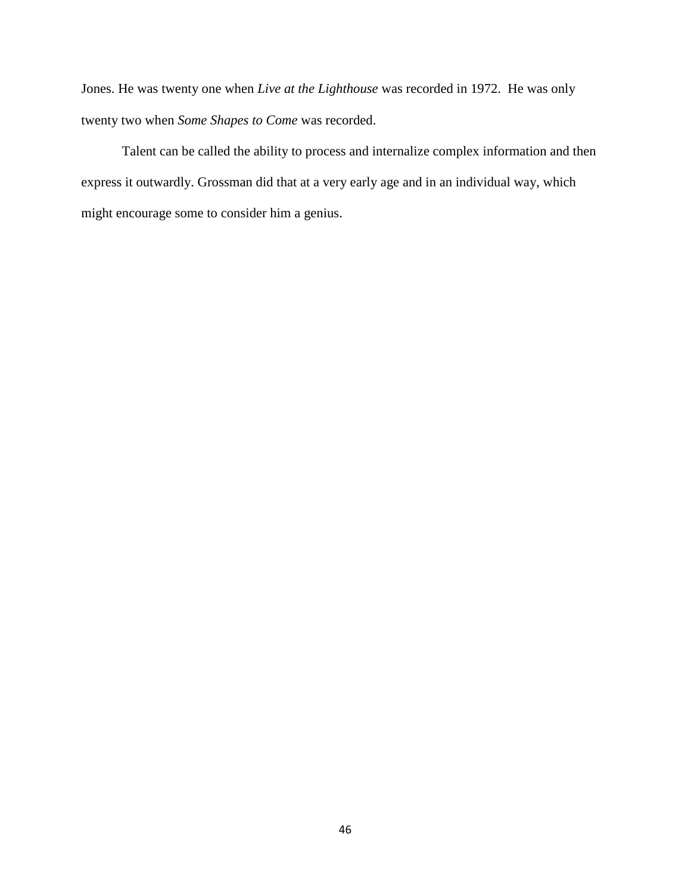Jones. He was twenty one when *Live at the Lighthouse* was recorded in 1972. He was only twenty two when *Some Shapes to Come* was recorded.

Talent can be called the ability to process and internalize complex information and then express it outwardly. Grossman did that at a very early age and in an individual way, which might encourage some to consider him a genius.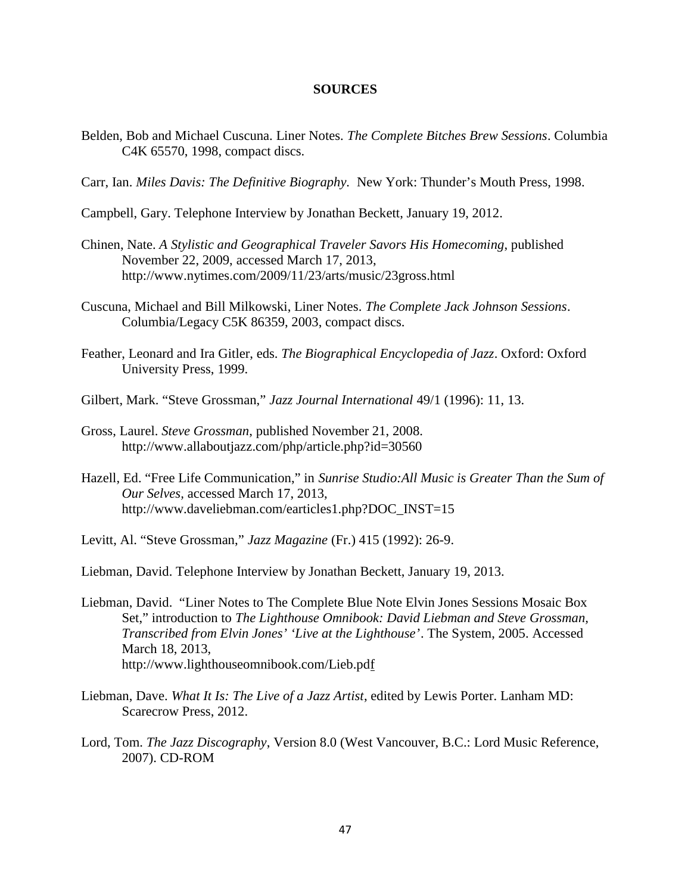#### **SOURCES**

- Belden, Bob and Michael Cuscuna. Liner Notes. *The Complete Bitches Brew Sessions*. Columbia C4K 65570, 1998, compact discs.
- Carr, Ian. *Miles Davis: The Definitive Biography.* New York: Thunder's Mouth Press, 1998.
- Campbell, Gary. Telephone Interview by Jonathan Beckett, January 19, 2012.
- Chinen, Nate. *A Stylistic and Geographical Traveler Savors His Homecoming*, published November 22, 2009, accessed March 17, 2013, http://www.nytimes.com/2009/11/23/arts/music/23gross.html
- Cuscuna, Michael and Bill Milkowski, Liner Notes. *The Complete Jack Johnson Sessions*. Columbia/Legacy C5K 86359, 2003, compact discs.
- Feather, Leonard and Ira Gitler, eds. *The Biographical Encyclopedia of Jazz*. Oxford: Oxford University Press, 1999.
- Gilbert, Mark. "Steve Grossman," *Jazz Journal International* 49/1 (1996): 11, 13.
- Gross, Laurel. *Steve Grossman*, published November 21, 2008. http://www.allaboutjazz.com/php/article.php?id=30560
- Hazell, Ed. "Free Life Communication," in *Sunrise Studio:All Music is Greater Than the Sum of Our Selves,* accessed March 17, 2013, http://www.daveliebman.com/earticles1.php?DOC\_INST=15
- Levitt, Al. "Steve Grossman," *Jazz Magazine* (Fr.) 415 (1992): 26-9.
- Liebman, David. Telephone Interview by Jonathan Beckett, January 19, 2013.
- Liebman, David. "Liner Notes to The Complete Blue Note Elvin Jones Sessions Mosaic Box Set," introduction to *The Lighthouse Omnibook: David Liebman and Steve Grossman, Transcribed from Elvin Jones' 'Live at the Lighthouse'*. The System, 2005. Accessed March 18, 2013, http://www.lighthouseomnibook.com/Lieb.pdf
- Liebman, Dave. *What It Is: The Live of a Jazz Artist*, edited by Lewis Porter. Lanham MD: Scarecrow Press, 2012.
- Lord, Tom. *The Jazz Discography*, Version 8.0 (West Vancouver, B.C.: Lord Music Reference, 2007). CD-ROM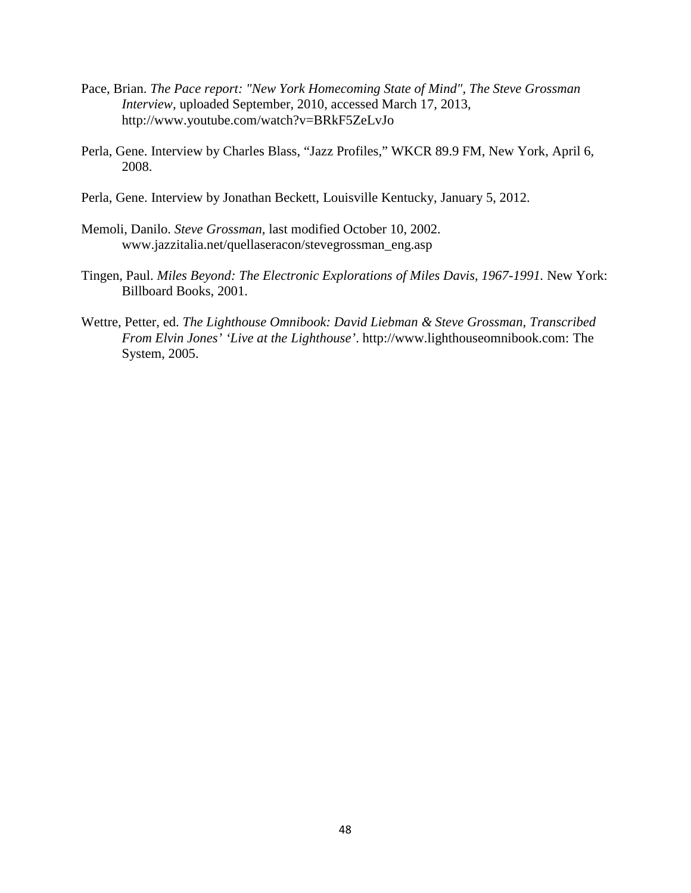- Pace, Brian. *The Pace report: "New York Homecoming State of Mind", The Steve Grossman Interview,* uploaded September, 2010, accessed March 17, 2013, http://www.youtube.com/watch?v=BRkF5ZeLvJo
- Perla, Gene. Interview by Charles Blass, "Jazz Profiles," WKCR 89.9 FM, New York, April 6, 2008.
- Perla, Gene. Interview by Jonathan Beckett, Louisville Kentucky, January 5, 2012.
- Memoli, Danilo. *Steve Grossman,* last modified October 10, 2002. www.jazzitalia.net/quellaseracon/stevegrossman\_eng.asp
- Tingen, Paul. *Miles Beyond: The Electronic Explorations of Miles Davis, 1967-1991.* New York: Billboard Books, 2001.
- Wettre, Petter, ed. *The Lighthouse Omnibook: David Liebman & Steve Grossman, Transcribed From Elvin Jones' 'Live at the Lighthouse'*. http://www.lighthouseomnibook.com: The System, 2005.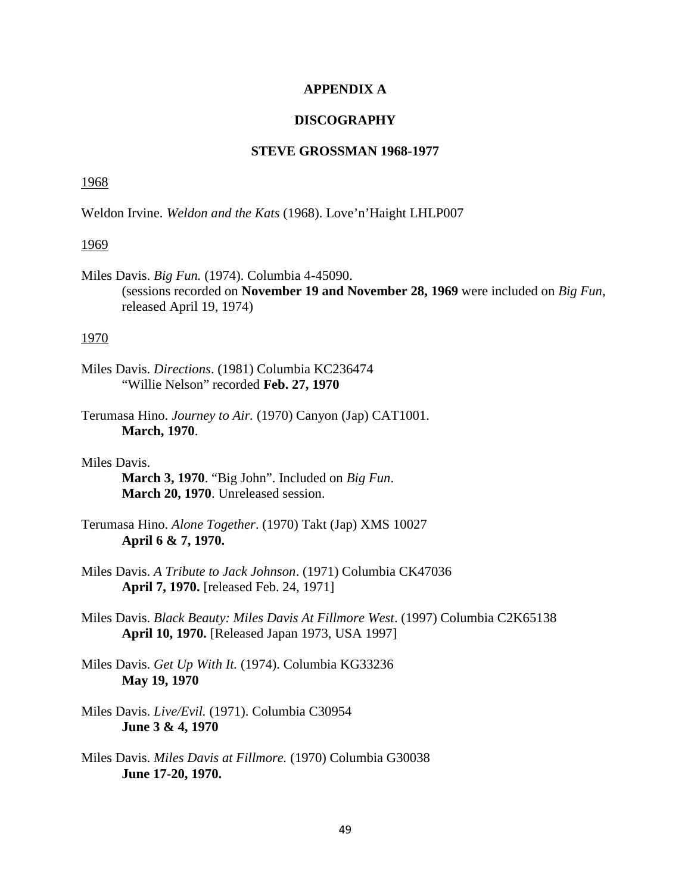### **APPENDIX A**

### **DISCOGRAPHY**

## **STEVE GROSSMAN 1968-1977**

#### 1968

Weldon Irvine. *Weldon and the Kats* (1968). Love'n'Haight LHLP007

#### 1969

Miles Davis. *Big Fun.* (1974). Columbia 4-45090. (sessions recorded on **November 19 and November 28, 1969** were included on *Big Fun*, released April 19, 1974)

### 1970

Miles Davis. *Directions*. (1981) Columbia KC236474 "Willie Nelson" recorded **Feb. 27, 1970**

- Terumasa Hino. *Journey to Air.* (1970) Canyon (Jap) CAT1001. **March, 1970**.
- Miles Davis. **March 3, 1970**. "Big John". Included on *Big Fun*. **March 20, 1970**. Unreleased session.
- Terumasa Hino. *Alone Together*. (1970) Takt (Jap) XMS 10027 **April 6 & 7, 1970.**
- Miles Davis. *A Tribute to Jack Johnson*. (1971) Columbia CK47036 **April 7, 1970.** [released Feb. 24, 1971]
- Miles Davis. *Black Beauty: Miles Davis At Fillmore West*. (1997) Columbia C2K65138 **April 10, 1970.** [Released Japan 1973, USA 1997]
- Miles Davis. *Get Up With It.* (1974). Columbia KG33236 **May 19, 1970**
- Miles Davis. *Live/Evil.* (1971). Columbia C30954 **June 3 & 4, 1970**
- Miles Davis. *Miles Davis at Fillmore.* (1970) Columbia G30038 **June 17-20, 1970.**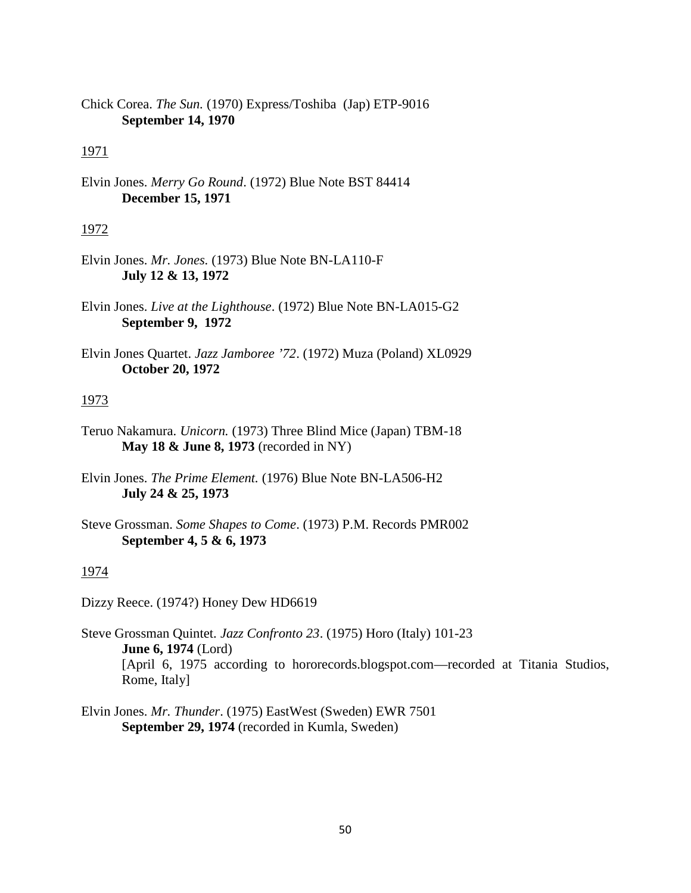Chick Corea. *The Sun.* (1970) Express/Toshiba (Jap) ETP-9016 **September 14, 1970**

## 1971

Elvin Jones. *Merry Go Round*. (1972) Blue Note BST 84414 **December 15, 1971**

### 1972

- Elvin Jones. *Mr. Jones.* (1973) Blue Note BN-LA110-F **July 12 & 13, 1972**
- Elvin Jones. *Live at the Lighthouse*. (1972) Blue Note BN-LA015-G2 **September 9, 1972**
- Elvin Jones Quartet. *Jazz Jamboree '72*. (1972) Muza (Poland) XL0929 **October 20, 1972**

### 1973

- Teruo Nakamura. *Unicorn.* (1973) Three Blind Mice (Japan) TBM-18 **May 18 & June 8, 1973** (recorded in NY)
- Elvin Jones. *The Prime Element.* (1976) Blue Note BN-LA506-H2 **July 24 & 25, 1973**
- Steve Grossman. *Some Shapes to Come*. (1973) P.M. Records PMR002 **September 4, 5 & 6, 1973**

### 1974

Dizzy Reece. (1974?) Honey Dew HD6619

- Steve Grossman Quintet. *Jazz Confronto 23*. (1975) Horo (Italy) 101-23 **June 6, 1974** (Lord) [April 6, 1975 according to hororecords.blogspot.com—recorded at Titania Studios, Rome, Italy]
- Elvin Jones. *Mr. Thunder*. (1975) EastWest (Sweden) EWR 7501 **September 29, 1974** (recorded in Kumla, Sweden)